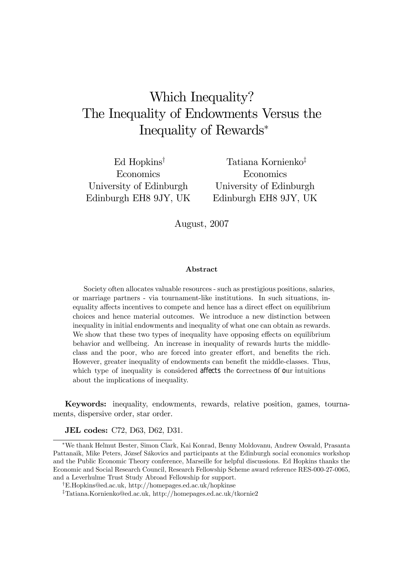# Which Inequality? The Inequality of Endowments Versus the Inequality of Rewards<sup>∗</sup>

Ed Hopkins† Economics University of Edinburgh Edinburgh EH8 9JY, UK

Tatiana Kornienko‡ Economics University of Edinburgh Edinburgh EH8 9JY, UK

August, 2007

#### Abstract

Society often allocates valuable resources - such as prestigious positions, salaries, or marriage partners - via tournament-like institutions. In such situations, inequality affects incentives to compete and hence has a direct effect on equilibrium choices and hence material outcomes. We introduce a new distinction between inequality in initial endowments and inequality of what one can obtain as rewards. We show that these two types of inequality have opposing effects on equilibrium behavior and wellbeing. An increase in inequality of rewards hurts the middleclass and the poor, who are forced into greater effort, and benefits the rich. However, greater inequality of endowments can benefit the middle-classes. Thus, which type of inequality is considered affects the correctness of our intuitions about the implications of inequality.

Keywords: inequality, endowments, rewards, relative position, games, tournaments, dispersive order, star order.

JEL codes: C72, D63, D62, D31.

<sup>∗</sup>We thank Helmut Bester, Simon Clark, Kai Konrad, Benny Moldovanu, Andrew Oswald, Prasanta Pattanaik, Mike Peters, József Sákovics and participants at the Edinburgh social economics workshop and the Public Economic Theory conference, Marseille for helpful discussions. Ed Hopkins thanks the Economic and Social Research Council, Research Fellowship Scheme award reference RES-000-27-0065, and a Leverhulme Trust Study Abroad Fellowship for support.

<sup>†</sup>E.Hopkins@ed.ac.uk, http://homepages.ed.ac.uk/hopkinse

<sup>‡</sup>Tatiana.Kornienko@ed.ac.uk, http://homepages.ed.ac.uk/tkornie2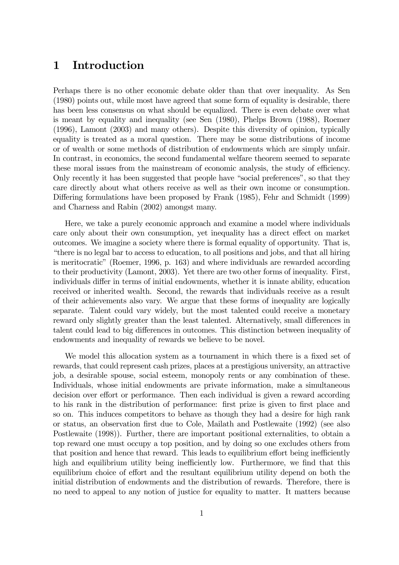## 1 Introduction

Perhaps there is no other economic debate older than that over inequality. As Sen (1980) points out, while most have agreed that some form of equality is desirable, there has been less consensus on what should be equalized. There is even debate over what is meant by equality and inequality (see Sen (1980), Phelps Brown (1988), Roemer (1996), Lamont (2003) and many others). Despite this diversity of opinion, typically equality is treated as a moral question. There may be some distributions of income or of wealth or some methods of distribution of endowments which are simply unfair. In contrast, in economics, the second fundamental welfare theorem seemed to separate these moral issues from the mainstream of economic analysis, the study of efficiency. Only recently it has been suggested that people have "social preferences", so that they care directly about what others receive as well as their own income or consumption. Differing formulations have been proposed by Frank (1985), Fehr and Schmidt (1999) and Charness and Rabin (2002) amongst many.

Here, we take a purely economic approach and examine a model where individuals care only about their own consumption, yet inequality has a direct effect on market outcomes. We imagine a society where there is formal equality of opportunity. That is, "there is no legal bar to access to education, to all positions and jobs, and that all hiring is meritocratic" (Roemer, 1996, p. 163) and where individuals are rewarded according to their productivity (Lamont, 2003). Yet there are two other forms of inequality. First, individuals differ in terms of initial endowments, whether it is innate ability, education received or inherited wealth. Second, the rewards that individuals receive as a result of their achievements also vary. We argue that these forms of inequality are logically separate. Talent could vary widely, but the most talented could receive a monetary reward only slightly greater than the least talented. Alternatively, small differences in talent could lead to big differences in outcomes. This distinction between inequality of endowments and inequality of rewards we believe to be novel.

We model this allocation system as a tournament in which there is a fixed set of rewards, that could represent cash prizes, places at a prestigious university, an attractive job, a desirable spouse, social esteem, monopoly rents or any combination of these. Individuals, whose initial endowments are private information, make a simultaneous decision over effort or performance. Then each individual is given a reward according to his rank in the distribution of performance: first prize is given to first place and so on. This induces competitors to behave as though they had a desire for high rank or status, an observation first due to Cole, Mailath and Postlewaite (1992) (see also Postlewaite (1998)). Further, there are important positional externalities, to obtain a top reward one must occupy a top position, and by doing so one excludes others from that position and hence that reward. This leads to equilibrium effort being inefficiently high and equilibrium utility being inefficiently low. Furthermore, we find that this equilibrium choice of effort and the resultant equilibrium utility depend on both the initial distribution of endowments and the distribution of rewards. Therefore, there is no need to appeal to any notion of justice for equality to matter. It matters because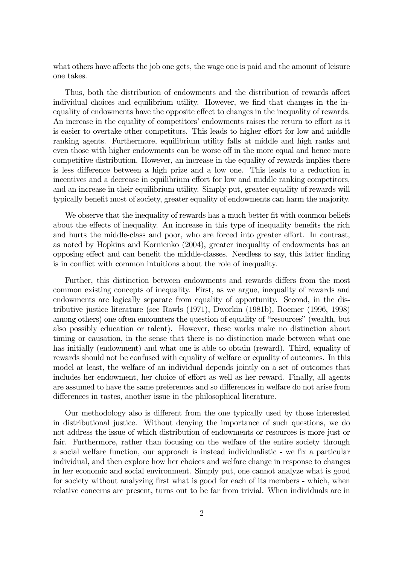what others have affects the job one gets, the wage one is paid and the amount of leisure one takes.

Thus, both the distribution of endowments and the distribution of rewards affect individual choices and equilibrium utility. However, we find that changes in the inequality of endowments have the opposite effect to changes in the inequality of rewards. An increase in the equality of competitors' endowments raises the return to effort as it is easier to overtake other competitors. This leads to higher effort for low and middle ranking agents. Furthermore, equilibrium utility falls at middle and high ranks and even those with higher endowments can be worse off in the more equal and hence more competitive distribution. However, an increase in the equality of rewards implies there is less difference between a high prize and a low one. This leads to a reduction in incentives and a decrease in equilibrium effort for low and middle ranking competitors, and an increase in their equilibrium utility. Simply put, greater equality of rewards will typically benefit most of society, greater equality of endowments can harm the majority.

We observe that the inequality of rewards has a much better fit with common beliefs about the effects of inequality. An increase in this type of inequality benefits the rich and hurts the middle-class and poor, who are forced into greater effort. In contrast, as noted by Hopkins and Kornienko (2004), greater inequality of endowments has an opposing effect and can benefit the middle-classes. Needless to say, this latter finding is in conflict with common intuitions about the role of inequality.

Further, this distinction between endowments and rewards differs from the most common existing concepts of inequality. First, as we argue, inequality of rewards and endowments are logically separate from equality of opportunity. Second, in the distributive justice literature (see Rawls (1971), Dworkin (1981b), Roemer (1996, 1998) among others) one often encounters the question of equality of "resources" (wealth, but also possibly education or talent). However, these works make no distinction about timing or causation, in the sense that there is no distinction made between what one has initially (endowment) and what one is able to obtain (reward). Third, equality of rewards should not be confused with equality of welfare or equality of outcomes. In this model at least, the welfare of an individual depends jointly on a set of outcomes that includes her endowment, her choice of effort as well as her reward. Finally, all agents are assumed to have the same preferences and so differences in welfare do not arise from differences in tastes, another issue in the philosophical literature.

Our methodology also is different from the one typically used by those interested in distributional justice. Without denying the importance of such questions, we do not address the issue of which distribution of endowments or resources is more just or fair. Furthermore, rather than focusing on the welfare of the entire society through a social welfare function, our approach is instead individualistic - we fix a particular individual, and then explore how her choices and welfare change in response to changes in her economic and social environment. Simply put, one cannot analyze what is good for society without analyzing first what is good for each of its members - which, when relative concerns are present, turns out to be far from trivial. When individuals are in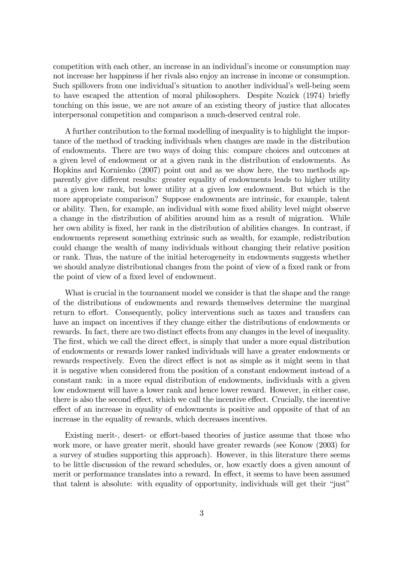competition with each other, an increase in an individual's income or consumption may not increase her happiness if her rivals also enjoy an increase in income or consumption. Such spillovers from one individual's situation to another individual's well-being seem to have escaped the attention of moral philosophers. Despite Nozick (1974) briefly touching on this issue, we are not aware of an existing theory of justice that allocates interpersonal competition and comparison a much-deserved central role.

A further contribution to the formal modelling of inequality is to highlight the importance of the method of tracking individuals when changes are made in the distribution of endowments. There are two ways of doing this: compare choices and outcomes at a given level of endowment or at a given rank in the distribution of endowments. As Hopkins and Kornienko (2007) point out and as we show here, the two methods apparently give different results: greater equality of endowments leads to higher utility at a given low rank, but lower utility at a given low endowment. But which is the more appropriate comparison? Suppose endowments are intrinsic, for example, talent or ability. Then, for example, an individual with some fixed ability level might observe a change in the distribution of abilities around him as a result of migration. While her own ability is fixed, her rank in the distribution of abilities changes. In contrast, if endowments represent something extrinsic such as wealth, for example, redistribution could change the wealth of many individuals without changing their relative position or rank. Thus, the nature of the initial heterogeneity in endowments suggests whether we should analyze distributional changes from the point of view of a fixed rank or from the point of view of a fixed level of endowment.

What is crucial in the tournament model we consider is that the shape and the range of the distributions of endowments and rewards themselves determine the marginal return to effort. Consequently, policy interventions such as taxes and transfers can have an impact on incentives if they change either the distributions of endowments or rewards. In fact, there are two distinct effects from any changes in the level of inequality. The first, which we call the direct effect, is simply that under a more equal distribution of endowments or rewards lower ranked individuals will have a greater endowments or rewards respectively. Even the direct effect is not as simple as it might seem in that it is negative when considered from the position of a constant endowment instead of a constant rank: in a more equal distribution of endowments, individuals with a given low endowment will have a lower rank and hence lower reward. However, in either case, there is also the second effect, which we call the incentive effect. Crucially, the incentive effect of an increase in equality of endowments is positive and opposite of that of an increase in the equality of rewards, which decreases incentives.

Existing merit-, desert- or effort-based theories of justice assume that those who work more, or have greater merit, should have greater rewards (see Konow (2003) for a survey of studies supporting this approach). However, in this literature there seems to be little discussion of the reward schedules, or, how exactly does a given amount of merit or performance translates into a reward. In effect, it seems to have been assumed that talent is absolute: with equality of opportunity, individuals will get their "just"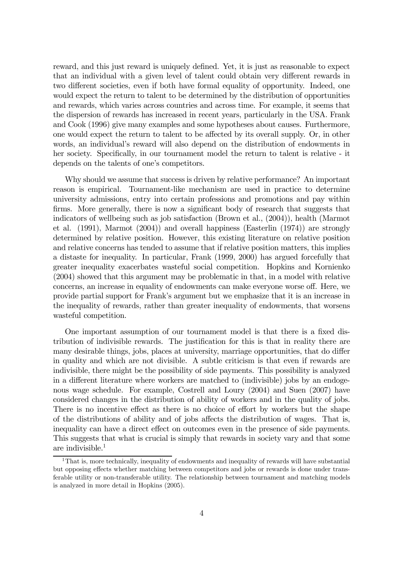reward, and this just reward is uniquely defined. Yet, it is just as reasonable to expect that an individual with a given level of talent could obtain very different rewards in two different societies, even if both have formal equality of opportunity. Indeed, one would expect the return to talent to be determined by the distribution of opportunities and rewards, which varies across countries and across time. For example, it seems that the dispersion of rewards has increased in recent years, particularly in the USA. Frank and Cook (1996) give many examples and some hypotheses about causes. Furthermore, one would expect the return to talent to be affected by its overall supply. Or, in other words, an individual's reward will also depend on the distribution of endowments in her society. Specifically, in our tournament model the return to talent is relative - it depends on the talents of one's competitors.

Why should we assume that success is driven by relative performance? An important reason is empirical. Tournament-like mechanism are used in practice to determine university admissions, entry into certain professions and promotions and pay within firms. More generally, there is now a significant body of research that suggests that indicators of wellbeing such as job satisfaction (Brown et al., (2004)), health (Marmot et al. (1991), Marmot (2004)) and overall happiness (Easterlin (1974)) are strongly determined by relative position. However, this existing literature on relative position and relative concerns has tended to assume that if relative position matters, this implies a distaste for inequality. In particular, Frank (1999, 2000) has argued forcefully that greater inequality exacerbates wasteful social competition. Hopkins and Kornienko (2004) showed that this argument may be problematic in that, in a model with relative concerns, an increase in equality of endowments can make everyone worse off. Here, we provide partial support for Frank's argument but we emphasize that it is an increase in the inequality of rewards, rather than greater inequality of endowments, that worsens wasteful competition.

One important assumption of our tournament model is that there is a fixed distribution of indivisible rewards. The justification for this is that in reality there are many desirable things, jobs, places at university, marriage opportunities, that do differ in quality and which are not divisible. A subtle criticism is that even if rewards are indivisible, there might be the possibility of side payments. This possibility is analyzed in a different literature where workers are matched to (indivisible) jobs by an endogenous wage schedule. For example, Costrell and Loury (2004) and Suen (2007) have considered changes in the distribution of ability of workers and in the quality of jobs. There is no incentive effect as there is no choice of effort by workers but the shape of the distributions of ability and of jobs affects the distribution of wages. That is, inequality can have a direct effect on outcomes even in the presence of side payments. This suggests that what is crucial is simply that rewards in society vary and that some are indivisible. $<sup>1</sup>$ </sup>

<sup>&</sup>lt;sup>1</sup>That is, more technically, inequality of endowments and inequality of rewards will have substantial but opposing effects whether matching between competitors and jobs or rewards is done under transferable utility or non-transferable utility. The relationship between tournament and matching models is analyzed in more detail in Hopkins (2005).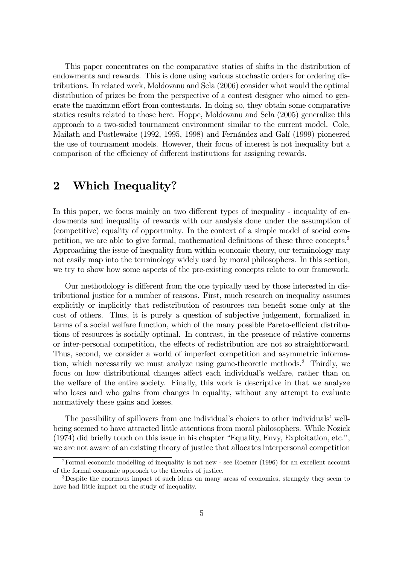This paper concentrates on the comparative statics of shifts in the distribution of endowments and rewards. This is done using various stochastic orders for ordering distributions. In related work, Moldovanu and Sela (2006) consider what would the optimal distribution of prizes be from the perspective of a contest designer who aimed to generate the maximum effort from contestants. In doing so, they obtain some comparative statics results related to those here. Hoppe, Moldovanu and Sela (2005) generalize this approach to a two-sided tournament environment similar to the current model. Cole, Mailath and Postlewaite (1992, 1995, 1998) and Fernández and Galí (1999) pioneered the use of tournament models. However, their focus of interest is not inequality but a comparison of the efficiency of different institutions for assigning rewards.

## 2 Which Inequality?

In this paper, we focus mainly on two different types of inequality - inequality of endowments and inequality of rewards with our analysis done under the assumption of (competitive) equality of opportunity. In the context of a simple model of social competition, we are able to give formal, mathematical definitions of these three concepts.2 Approaching the issue of inequality from within economic theory, our terminology may not easily map into the terminology widely used by moral philosophers. In this section, we try to show how some aspects of the pre-existing concepts relate to our framework.

Our methodology is different from the one typically used by those interested in distributional justice for a number of reasons. First, much research on inequality assumes explicitly or implicitly that redistribution of resources can benefit some only at the cost of others. Thus, it is purely a question of subjective judgement, formalized in terms of a social welfare function, which of the many possible Pareto-efficient distributions of resources is socially optimal. In contrast, in the presence of relative concerns or inter-personal competition, the effects of redistribution are not so straightforward. Thus, second, we consider a world of imperfect competition and asymmetric information, which necessarily we must analyze using game-theoretic methods.<sup>3</sup> Thirdly, we focus on how distributional changes affect each individual's welfare, rather than on the welfare of the entire society. Finally, this work is descriptive in that we analyze who loses and who gains from changes in equality, without any attempt to evaluate normatively these gains and losses.

The possibility of spillovers from one individual's choices to other individuals' wellbeing seemed to have attracted little attentions from moral philosophers. While Nozick (1974) did briefly touch on this issue in his chapter "Equality, Envy, Exploitation, etc.", we are not aware of an existing theory of justice that allocates interpersonal competition

<sup>2</sup>Formal economic modelling of inequality is not new - see Roemer (1996) for an excellent account of the formal economic approach to the theories of justice.

<sup>&</sup>lt;sup>3</sup>Despite the enormous impact of such ideas on many areas of economics, strangely they seem to have had little impact on the study of inequality.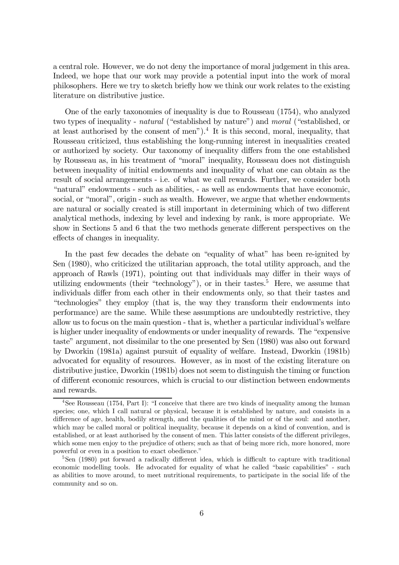a central role. However, we do not deny the importance of moral judgement in this area. Indeed, we hope that our work may provide a potential input into the work of moral philosophers. Here we try to sketch briefly how we think our work relates to the existing literature on distributive justice.

One of the early taxonomies of inequality is due to Rousseau (1754), who analyzed two types of inequality - natural ("established by nature") and moral ("established, or at least authorised by the consent of men").<sup>4</sup> It is this second, moral, inequality, that Rousseau criticized, thus establishing the long-running interest in inequalities created or authorized by society. Our taxonomy of inequality differs from the one established by Rousseau as, in his treatment of "moral" inequality, Rousseau does not distinguish between inequality of initial endowments and inequality of what one can obtain as the result of social arrangements - i.e. of what we call rewards. Further, we consider both "natural" endowments - such as abilities, - as well as endowments that have economic, social, or "moral", origin - such as wealth. However, we argue that whether endowments are natural or socially created is still important in determining which of two different analytical methods, indexing by level and indexing by rank, is more appropriate. We show in Sections 5 and 6 that the two methods generate different perspectives on the effects of changes in inequality.

In the past few decades the debate on "equality of what" has been re-ignited by Sen (1980), who criticized the utilitarian approach, the total utility approach, and the approach of Rawls (1971), pointing out that individuals may differ in their ways of utilizing endowments (their "technology"), or in their tastes.<sup>5</sup> Here, we assume that individuals differ from each other in their endowments only, so that their tastes and "technologies" they employ (that is, the way they transform their endowments into performance) are the same. While these assumptions are undoubtedly restrictive, they allow us to focus on the main question - that is, whether a particular individual's welfare is higher under inequality of endowments or under inequality of rewards. The "expensive taste" argument, not dissimilar to the one presented by Sen (1980) was also out forward by Dworkin (1981a) against pursuit of equality of welfare. Instead, Dworkin (1981b) advocated for equality of resources. However, as in most of the existing literature on distributive justice, Dworkin (1981b) does not seem to distinguish the timing or function of different economic resources, which is crucial to our distinction between endowments and rewards.

<sup>&</sup>lt;sup>4</sup>See Rousseau (1754, Part I): "I conceive that there are two kinds of inequality among the human species; one, which I call natural or physical, because it is established by nature, and consists in a difference of age, health, bodily strength, and the qualities of the mind or of the soul: and another, which may be called moral or political inequality, because it depends on a kind of convention, and is established, or at least authorised by the consent of men. This latter consists of the different privileges, which some men enjoy to the prejudice of others; such as that of being more rich, more honored, more powerful or even in a position to exact obedience."

<sup>&</sup>lt;sup>5</sup>Sen (1980) put forward a radically different idea, which is difficult to capture with traditional economic modelling tools. He advocated for equality of what he called "basic capabilities" - such as abilities to move around, to meet nutritional requirements, to participate in the social life of the community and so on.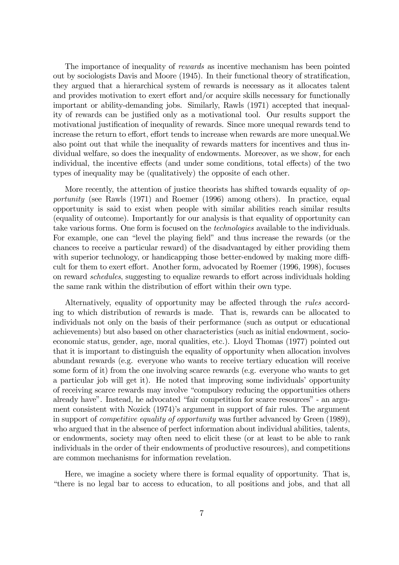The importance of inequality of rewards as incentive mechanism has been pointed out by sociologists Davis and Moore (1945). In their functional theory of stratification, they argued that a hierarchical system of rewards is necessary as it allocates talent and provides motivation to exert effort and/or acquire skills necessary for functionally important or ability-demanding jobs. Similarly, Rawls (1971) accepted that inequality of rewards can be justified only as a motivational tool. Our results support the motivational justification of inequality of rewards. Since more unequal rewards tend to increase the return to effort, effort tends to increase when rewards are more unequal.We also point out that while the inequality of rewards matters for incentives and thus individual welfare, so does the inequality of endowments. Moreover, as we show, for each individual, the incentive effects (and under some conditions, total effects) of the two types of inequality may be (qualitatively) the opposite of each other.

More recently, the attention of justice theorists has shifted towards equality of *op*portunity (see Rawls (1971) and Roemer (1996) among others). In practice, equal opportunity is said to exist when people with similar abilities reach similar results (equality of outcome). Importantly for our analysis is that equality of opportunity can take various forms. One form is focused on the *technologies* available to the individuals. For example, one can "level the playing field" and thus increase the rewards (or the chances to receive a particular reward) of the disadvantaged by either providing them with superior technology, or handicapping those better-endowed by making more difficult for them to exert effort. Another form, advocated by Roemer (1996, 1998), focuses on reward schedules, suggesting to equalize rewards to effort across individuals holding the same rank within the distribution of effort within their own type.

Alternatively, equality of opportunity may be affected through the rules according to which distribution of rewards is made. That is, rewards can be allocated to individuals not only on the basis of their performance (such as output or educational achievements) but also based on other characteristics (such as initial endowment, socioeconomic status, gender, age, moral qualities, etc.). Lloyd Thomas (1977) pointed out that it is important to distinguish the equality of opportunity when allocation involves abundant rewards (e.g. everyone who wants to receive tertiary education will receive some form of it) from the one involving scarce rewards (e.g. everyone who wants to get a particular job will get it). He noted that improving some individuals' opportunity of receiving scarce rewards may involve "compulsory reducing the opportunities others already have". Instead, he advocated "fair competition for scarce resources" - an argument consistent with Nozick (1974)'s argument in support of fair rules. The argument in support of competitive equality of opportunity was further advanced by Green (1989), who argued that in the absence of perfect information about individual abilities, talents, or endowments, society may often need to elicit these (or at least to be able to rank individuals in the order of their endowments of productive resources), and competitions are common mechanisms for information revelation.

Here, we imagine a society where there is formal equality of opportunity. That is, "there is no legal bar to access to education, to all positions and jobs, and that all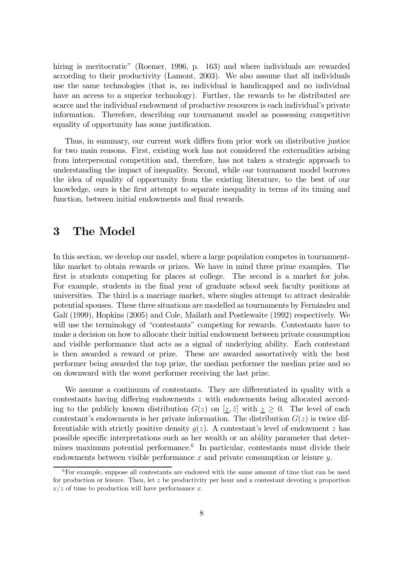hiring is meritocratic" (Roemer, 1996, p. 163) and where individuals are rewarded according to their productivity (Lamont, 2003). We also assume that all individuals use the same technologies (that is, no individual is handicapped and no individual have an access to a superior technology). Further, the rewards to be distributed are scarce and the individual endowment of productive resources is each individual's private information. Therefore, describing our tournament model as possessing competitive equality of opportunity has some justification.

Thus, in summary, our current work differs from prior work on distributive justice for two main reasons. First, existing work has not considered the externalities arising from interpersonal competition and, therefore, has not taken a strategic approach to understanding the impact of inequality. Second, while our tournament model borrows the idea of equality of opportunity from the existing literature, to the best of our knowledge, ours is the first attempt to separate inequality in terms of its timing and function, between initial endowments and final rewards.

### 3 The Model

In this section, we develop our model, where a large population competes in tournamentlike market to obtain rewards or prizes. We have in mind three prime examples. The first is students competing for places at college. The second is a market for jobs. For example, students in the final year of graduate school seek faculty positions at universities. The third is a marriage market, where singles attempt to attract desirable potential spouses. These three situations are modelled as tournaments by Fernández and Galí (1999), Hopkins (2005) and Cole, Mailath and Postlewaite (1992) respectively. We will use the terminology of "contestants" competing for rewards. Contestants have to make a decision on how to allocate their initial endowment between private consumption and visible performance that acts as a signal of underlying ability. Each contestant is then awarded a reward or prize. These are awarded assortatively with the best performer being awarded the top prize, the median performer the median prize and so on downward with the worst performer receiving the last prize.

We assume a continuum of contestants. They are differentiated in quality with a contestants having differing endowments z with endowments being allocated according to the publicly known distribution  $G(z)$  on  $[\underline{z}, \overline{z}]$  with  $\underline{z} \geq 0$ . The level of each contestant's endowments is her private information. The distribution  $G(z)$  is twice differentiable with strictly positive density  $g(z)$ . A contestant's level of endowment z has possible specific interpretations such as her wealth or an ability parameter that determines maximum potential performance.<sup>6</sup> In particular, contestants must divide their endowments between visible performance  $x$  and private consumption or leisure  $y$ .

 $6$ For example, suppose all contestants are endowed with the same amount of time that can be used for production or leisure. Then, let  $z$  be productivity per hour and a contestant devoting a proportion  $x/z$  of time to production will have performance x.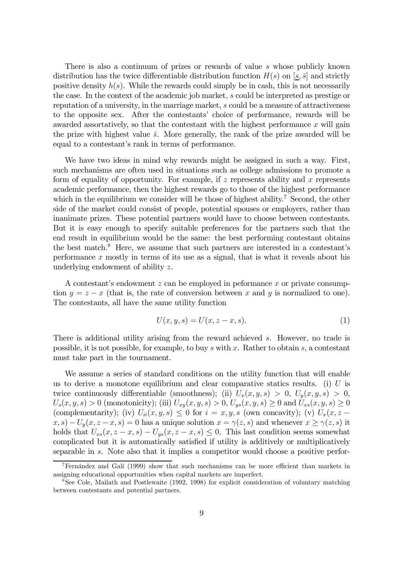There is also a continuum of prizes or rewards of value s whose publicly known distribution has the twice differentiable distribution function  $H(s)$  on  $[s, \bar{s}]$  and strictly positive density  $h(s)$ . While the rewards could simply be in cash, this is not necessarily the case. In the context of the academic job market, s could be interpreted as prestige or reputation of a university, in the marriage market, s could be a measure of attractiveness to the opposite sex. After the contestants' choice of performance, rewards will be awarded assortatively, so that the contestant with the highest performance  $x$  will gain the prize with highest value  $\bar{s}$ . More generally, the rank of the prize awarded will be equal to a contestant's rank in terms of performance.

We have two ideas in mind why rewards might be assigned in such a way. First, such mechanisms are often used in situations such as college admissions to promote a form of equality of opportunity. For example, if  $z$  represents ability and  $x$  represents academic performance, then the highest rewards go to those of the highest performance which in the equilibrium we consider will be those of highest ability.<sup>7</sup> Second, the other side of the market could consist of people, potential spouses or employers, rather than inanimate prizes. These potential partners would have to choose between contestants. But it is easy enough to specify suitable preferences for the partners such that the end result in equilibrium would be the same: the best performing contestant obtains the best match. $8$  Here, we assume that such partners are interested in a contestant's performance  $x$  mostly in terms of its use as a signal, that is what it reveals about his underlying endowment of ability z.

A contestant's endowment  $z$  can be employed in peformance  $x$  or private consumption  $y = z - x$  (that is, the rate of conversion between x and y is normalized to one). The contestants, all have the same utility function

$$
U(x, y, s) = U(x, z - x, s). \tag{1}
$$

There is additional utility arising from the reward achieved s. However, no trade is possible, it is not possible, for example, to buy s with x. Rather to obtain s, a contestant must take part in the tournament.

We assume a series of standard conditions on the utility function that will enable us to derive a monotone equilibrium and clear comparative statics results. (i)  $U$  is twice continuously differentiable (smoothness); (ii)  $U_x(x, y, s) > 0$ ,  $U_y(x, y, s) > 0$ ,  $U_s(x, y, s) > 0$  (monotonicity); (iii)  $U_{xy}(x, y, s) > 0$ ,  $U_{ys}(x, y, s) \ge 0$  and  $U_{xs}(x, y, s) \ge 0$ (complementarity); (iv)  $U_{ii}(x, y, s) \leq 0$  for  $i = x, y, s$  (own concavity); (v)  $U_x(x, z (x, s) - U_y(x, z - x, s) = 0$  has a unique solution  $x = \gamma(z, s)$  and whenever  $x \geq \gamma(z, s)$  it holds that  $U_{xs}(x, z-x, s) - U_{ys}(x, z-x, s) \leq 0$ . This last condition seems somewhat complicated but it is automatically satisfied if utility is additively or multiplicatively separable in s. Note also that it implies a competitor would choose a positive perfor-

<sup>7</sup>Fernández and Galí (1999) show that such mechanisms can be more efficient than markets in assigning educational opportunities when capital markets are imperfect.

<sup>8</sup>See Cole, Mailath and Postlewaite (1992, 1998) for explicit consideration of voluntary matching between contestants and potential partners.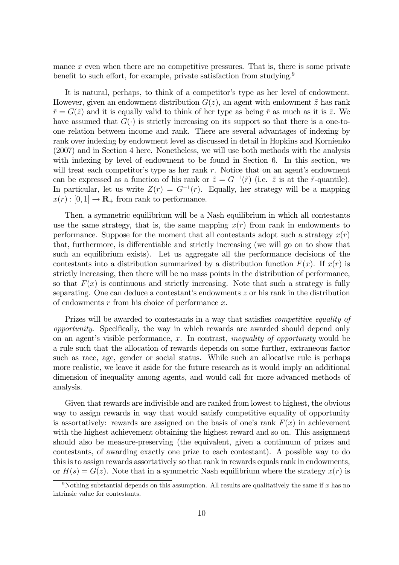mance  $x$  even when there are no competitive pressures. That is, there is some private benefit to such effort, for example, private satisfaction from studying.<sup>9</sup>

It is natural, perhaps, to think of a competitor's type as her level of endowment. However, given an endowment distribution  $G(z)$ , an agent with endowment  $\tilde{z}$  has rank  $\tilde{r} = G(\tilde{z})$  and it is equally valid to think of her type as being  $\tilde{r}$  as much as it is  $\tilde{z}$ . We have assumed that  $G(\cdot)$  is strictly increasing on its support so that there is a one-toone relation between income and rank. There are several advantages of indexing by rank over indexing by endowment level as discussed in detail in Hopkins and Kornienko (2007) and in Section 4 here. Nonetheless, we will use both methods with the analysis with indexing by level of endowment to be found in Section 6. In this section, we will treat each competitor's type as her rank r. Notice that on an agent's endowment can be expressed as a function of his rank or  $\tilde{z} = G^{-1}(\tilde{r})$  (i.e.  $\tilde{z}$  is at the  $\tilde{r}$ -quantile). In particular, let us write  $Z(r) = G^{-1}(r)$ . Equally, her strategy will be a mapping  $x(r):[0,1]\to\mathbf{R}_+$  from rank to performance.

Then, a symmetric equilibrium will be a Nash equilibrium in which all contestants use the same strategy, that is, the same mapping  $x(r)$  from rank in endowments to performance. Suppose for the moment that all contestants adopt such a strategy  $x(r)$ that, furthermore, is differentiable and strictly increasing (we will go on to show that such an equilibrium exists). Let us aggregate all the performance decisions of the contestants into a distribution summarized by a distribution function  $F(x)$ . If  $x(r)$  is strictly increasing, then there will be no mass points in the distribution of performance, so that  $F(x)$  is continuous and strictly increasing. Note that such a strategy is fully separating. One can deduce a contestant's endowments z or his rank in the distribution of endowments  $r$  from his choice of performance  $x$ .

Prizes will be awarded to contestants in a way that satisfies *competitive equality of* opportunity. Specifically, the way in which rewards are awarded should depend only on an agent's visible performance,  $x$ . In contrast, *inequality of opportunity* would be a rule such that the allocation of rewards depends on some further, extraneous factor such as race, age, gender or social status. While such an allocative rule is perhaps more realistic, we leave it aside for the future research as it would imply an additional dimension of inequality among agents, and would call for more advanced methods of analysis.

Given that rewards are indivisible and are ranked from lowest to highest, the obvious way to assign rewards in way that would satisfy competitive equality of opportunity is assortatively: rewards are assigned on the basis of one's rank  $F(x)$  in achievement with the highest achievement obtaining the highest reward and so on. This assignment should also be measure-preserving (the equivalent, given a continuum of prizes and contestants, of awarding exactly one prize to each contestant). A possible way to do this is to assign rewards assortatively so that rank in rewards equals rank in endowments, or  $H(s) = G(z)$ . Note that in a symmetric Nash equilibrium where the strategy  $x(r)$  is

<sup>&</sup>lt;sup>9</sup>Nothing substantial depends on this assumption. All results are qualitatively the same if x has no intrinsic value for contestants.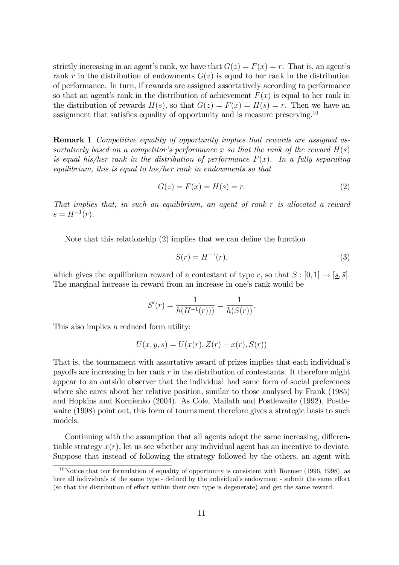strictly increasing in an agent's rank, we have that  $G(z) = F(x) = r$ . That is, an agent's rank r in the distribution of endowments  $G(z)$  is equal to her rank in the distribution of performance. In turn, if rewards are assigned assortatively according to performance so that an agent's rank in the distribution of achievement  $F(x)$  is equal to her rank in the distribution of rewards  $H(s)$ , so that  $G(z) = F(x) = H(s) = r$ . Then we have an assignment that satisfies equality of opportunity and is measure preserving.<sup>10</sup>

**Remark 1** Competitive equality of opportunity implies that rewards are assigned assortatively based on a competitor's performance x so that the rank of the reward  $H(s)$ is equal his/her rank in the distribution of performance  $F(x)$ . In a fully separating equilibrium, this is equal to his/her rank in endowments so that

$$
G(z) = F(x) = H(s) = r.
$$
\n<sup>(2)</sup>

That implies that, in such an equilibrium, an agent of rank r is allocated a reward  $s = H^{-1}(r)$ .

Note that this relationship (2) implies that we can define the function

$$
S(r) = H^{-1}(r),\tag{3}
$$

which gives the equilibrium reward of a contestant of type r, so that  $S : [0,1] \rightarrow [\underline{s}, \overline{s}]$ . The marginal increase in reward from an increase in one's rank would be

$$
S'(r) = \frac{1}{h(H^{-1}(r))} = \frac{1}{h(S(r))}.
$$

This also implies a reduced form utility:

$$
U(x, y, s) = U(x(r), Z(r) - x(r), S(r))
$$

That is, the tournament with assortative award of prizes implies that each individual's payoffs are increasing in her rank  $r$  in the distribution of contestants. It therefore might appear to an outside observer that the individual had some form of social preferences where she cares about her relative position, similar to those analysed by Frank (1985) and Hopkins and Kornienko (2004). As Cole, Mailath and Postlewaite (1992), Postlewaite (1998) point out, this form of tournament therefore gives a strategic basis to such models.

Continuing with the assumption that all agents adopt the same increasing, differentiable strategy  $x(r)$ , let us see whether any individual agent has an incentive to deviate. Suppose that instead of following the strategy followed by the others, an agent with

 $10$ Notice that our formulation of equality of opportunity is consistent with Roemer (1996, 1998), as here all individuals of the same type - defined by the individual's endowment - submit the same effort (so that the distribution of effort within their own type is degenerate) and get the same reward.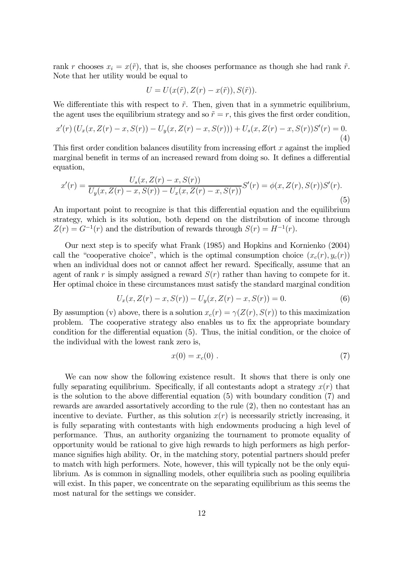rank r chooses  $x_i = x(\tilde{r})$ , that is, she chooses performance as though she had rank  $\tilde{r}$ . Note that her utility would be equal to

$$
U = U(x(\tilde{r}), Z(r) - x(\tilde{r})), S(\tilde{r})).
$$

We differentiate this with respect to  $\tilde{r}$ . Then, given that in a symmetric equilibrium, the agent uses the equilibrium strategy and so  $\tilde{r} = r$ , this gives the first order condition,

$$
x'(r)\left(U_x(x, Z(r) - x, S(r)) - U_y(x, Z(r) - x, S(r))\right) + U_s(x, Z(r) - x, S(r))S'(r) = 0.
$$
\n(4)

This first order condition balances disutility from increasing effort x against the implied marginal benefit in terms of an increased reward from doing so. It defines a differential equation,

$$
x'(r) = \frac{U_s(x, Z(r) - x, S(r))}{U_y(x, Z(r) - x, S(r)) - U_x(x, Z(r) - x, S(r))} S'(r) = \phi(x, Z(r), S(r)) S'(r).
$$
\n(5)

An important point to recognize is that this differential equation and the equilibrium strategy, which is its solution, both depend on the distribution of income through  $Z(r) = G^{-1}(r)$  and the distribution of rewards through  $S(r) = H^{-1}(r)$ .

Our next step is to specify what Frank (1985) and Hopkins and Kornienko (2004) call the "cooperative choice", which is the optimal consumption choice  $(x_c(r), y_c(r))$ when an individual does not or cannot affect her reward. Specifically, assume that an agent of rank r is simply assigned a reward  $S(r)$  rather than having to compete for it. Her optimal choice in these circumstances must satisfy the standard marginal condition

$$
U_x(x, Z(r) - x, S(r)) - U_y(x, Z(r) - x, S(r)) = 0.
$$
\n(6)

By assumption (v) above, there is a solution  $x_c(r) = \gamma(Z(r), S(r))$  to this maximization problem. The cooperative strategy also enables us to fix the appropriate boundary condition for the differential equation (5). Thus, the initial condition, or the choice of the individual with the lowest rank zero is,

$$
x(0) = x_c(0) . \tag{7}
$$

We can now show the following existence result. It shows that there is only one fully separating equilibrium. Specifically, if all contestants adopt a strategy  $x(r)$  that is the solution to the above differential equation (5) with boundary condition (7) and rewards are awarded assortatively according to the rule (2), then no contestant has an incentive to deviate. Further, as this solution  $x(r)$  is necessarily strictly increasing, it is fully separating with contestants with high endowments producing a high level of performance. Thus, an authority organizing the tournament to promote equality of opportunity would be rational to give high rewards to high performers as high performance signifies high ability. Or, in the matching story, potential partners should prefer to match with high performers. Note, however, this will typically not be the only equilibrium. As is common in signalling models, other equilibria such as pooling equilibria will exist. In this paper, we concentrate on the separating equilibrium as this seems the most natural for the settings we consider.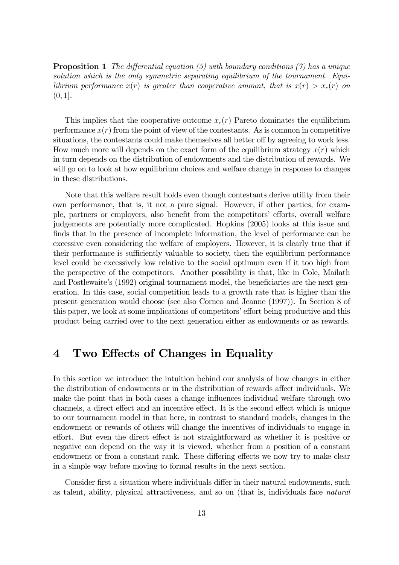**Proposition 1** The differential equation (5) with boundary conditions (7) has a unique solution which is the only symmetric separating equilibrium of the tournament. Equilibrium performance  $x(r)$  is greater than cooperative amount, that is  $x(r) > x_c(r)$  on  $(0, 1].$ 

This implies that the cooperative outcome  $x_c(r)$  Pareto dominates the equilibrium performance  $x(r)$  from the point of view of the contestants. As is common in competitive situations, the contestants could make themselves all better off by agreeing to work less. How much more will depends on the exact form of the equilibrium strategy  $x(r)$  which in turn depends on the distribution of endowments and the distribution of rewards. We will go on to look at how equilibrium choices and welfare change in response to changes in these distributions.

Note that this welfare result holds even though contestants derive utility from their own performance, that is, it not a pure signal. However, if other parties, for example, partners or employers, also benefit from the competitors' efforts, overall welfare judgements are potentially more complicated. Hopkins (2005) looks at this issue and finds that in the presence of incomplete information, the level of performance can be excessive even considering the welfare of employers. However, it is clearly true that if their performance is sufficiently valuable to society, then the equilibrium performance level could be excessively low relative to the social optimum even if it too high from the perspective of the competitors. Another possibility is that, like in Cole, Mailath and Postlewaite's (1992) original tournament model, the beneficiaries are the next generation. In this case, social competition leads to a growth rate that is higher than the present generation would choose (see also Corneo and Jeanne (1997)). In Section 8 of this paper, we look at some implications of competitors' effort being productive and this product being carried over to the next generation either as endowments or as rewards.

## 4 Two Effects of Changes in Equality

In this section we introduce the intuition behind our analysis of how changes in either the distribution of endowments or in the distribution of rewards affect individuals. We make the point that in both cases a change influences individual welfare through two channels, a direct effect and an incentive effect. It is the second effect which is unique to our tournament model in that here, in contrast to standard models, changes in the endowment or rewards of others will change the incentives of individuals to engage in effort. But even the direct effect is not straightforward as whether it is positive or negative can depend on the way it is viewed, whether from a position of a constant endowment or from a constant rank. These differing effects we now try to make clear in a simple way before moving to formal results in the next section.

Consider first a situation where individuals differ in their natural endowments, such as talent, ability, physical attractiveness, and so on (that is, individuals face natural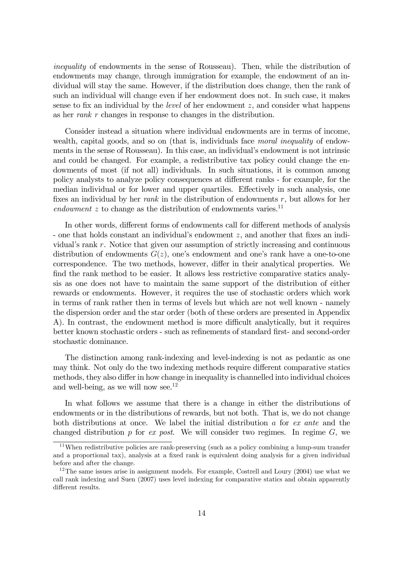inequality of endowments in the sense of Rousseau). Then, while the distribution of endowments may change, through immigration for example, the endowment of an individual will stay the same. However, if the distribution does change, then the rank of such an individual will change even if her endowment does not. In such case, it makes sense to fix an individual by the *level* of her endowment  $z$ , and consider what happens as her rank r changes in response to changes in the distribution.

Consider instead a situation where individual endowments are in terms of income, wealth, capital goods, and so on (that is, individuals face moral inequality of endowments in the sense of Rousseau). In this case, an individual's endowment is not intrinsic and could be changed. For example, a redistributive tax policy could change the endowments of most (if not all) individuals. In such situations, it is common among policy analysts to analyze policy consequences at different ranks - for example, for the median individual or for lower and upper quartiles. Effectively in such analysis, one fixes an individual by her *rank* in the distribution of endowments r, but allows for her endowment  $z$  to change as the distribution of endowments varies.<sup>11</sup>

In other words, different forms of endowments call for different methods of analysis - one that holds constant an individual's endowment z, and another that fixes an individual's rank r. Notice that given our assumption of strictly increasing and continuous distribution of endowments  $G(z)$ , one's endowment and one's rank have a one-to-one correspondence. The two methods, however, differ in their analytical properties. We find the rank method to be easier. It allows less restrictive comparative statics analysis as one does not have to maintain the same support of the distribution of either rewards or endowments. However, it requires the use of stochastic orders which work in terms of rank rather then in terms of levels but which are not well known - namely the dispersion order and the star order (both of these orders are presented in Appendix A). In contrast, the endowment method is more difficult analytically, but it requires better known stochastic orders - such as refinements of standard first- and second-order stochastic dominance.

The distinction among rank-indexing and level-indexing is not as pedantic as one may think. Not only do the two indexing methods require different comparative statics methods, they also differ in how change in inequality is channelled into individual choices and well-being, as we will now see.<sup>12</sup>

In what follows we assume that there is a change in either the distributions of endowments or in the distributions of rewards, but not both. That is, we do not change both distributions at once. We label the initial distribution a for ex ante and the changed distribution  $p$  for ex post. We will consider two regimes. In regime  $G$ , we

<sup>&</sup>lt;sup>11</sup>When redistributive policies are rank-preserving (such as a policy combining a lump-sum transfer and a proportional tax), analysis at a fixed rank is equivalent doing analysis for a given individual before and after the change.

<sup>&</sup>lt;sup>12</sup>The same issues arise in assignment models. For example, Costrell and Loury  $(2004)$  use what we call rank indexing and Suen (2007) uses level indexing for comparative statics and obtain apparently different results.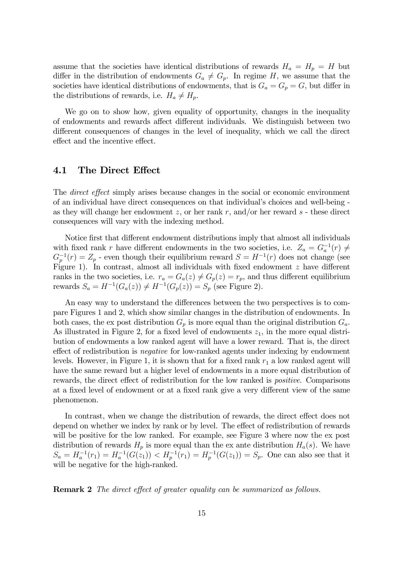assume that the societies have identical distributions of rewards  $H_a = H_p = H$  but differ in the distribution of endowments  $G_a \neq G_p$ . In regime H, we assume that the societies have identical distributions of endowments, that is  $G_a = G_p = G$ , but differ in the distributions of rewards, i.e.  $H_a \neq H_p$ .

We go on to show how, given equality of opportunity, changes in the inequality of endowments and rewards affect different individuals. We distinguish between two different consequences of changes in the level of inequality, which we call the direct effect and the incentive effect.

#### 4.1 The Direct Effect

The *direct effect* simply arises because changes in the social or economic environment of an individual have direct consequences on that individual's choices and well-being as they will change her endowment z, or her rank r, and/or her reward  $s$  - these direct consequences will vary with the indexing method.

Notice first that different endowment distributions imply that almost all individuals with fixed rank r have different endowments in the two societies, i.e.  $Z_a = G_a^{-1}(r) \neq \mathbb{R}$  $G_p^{-1}(r) = Z_p$  - even though their equilibrium reward  $S = H^{-1}(r)$  does not change (see Figure 1). In contrast, almost all individuals with fixed endowment z have different ranks in the two societies, i.e.  $r_a = G_a(z) \neq G_p(z) = r_p$ , and thus different equilibrium rewards  $S_a = H^{-1}(G_a(z)) \neq H^{-1}(G_p(z)) = S_p$  (see Figure 2).

An easy way to understand the differences between the two perspectives is to compare Figures 1 and 2, which show similar changes in the distribution of endowments. In both cases, the ex post distribution  $G_p$  is more equal than the original distribution  $G_a$ . As illustrated in Figure 2, for a fixed level of endowments  $z_1$ , in the more equal distribution of endowments a low ranked agent will have a lower reward. That is, the direct effect of redistribution is *negative* for low-ranked agents under indexing by endowment levels. However, in Figure 1, it is shown that for a fixed rank  $r_1$  a low ranked agent will have the same reward but a higher level of endowments in a more equal distribution of rewards, the direct effect of redistribution for the low ranked is positive. Comparisons at a fixed level of endowment or at a fixed rank give a very different view of the same phenomenon.

In contrast, when we change the distribution of rewards, the direct effect does not depend on whether we index by rank or by level. The effect of redistribution of rewards will be positive for the low ranked. For example, see Figure 3 where now the ex post distribution of rewards  $H_p$  is more equal than the ex ante distribution  $H_a(s)$ . We have  $S_a = H_a^{-1}(r_1) = H_a^{-1}(G(z_1)) < H_p^{-1}(r_1) = H_p^{-1}(G(z_1)) = S_p$ . One can also see that it will be negative for the high-ranked.

**Remark 2** The direct effect of greater equality can be summarized as follows.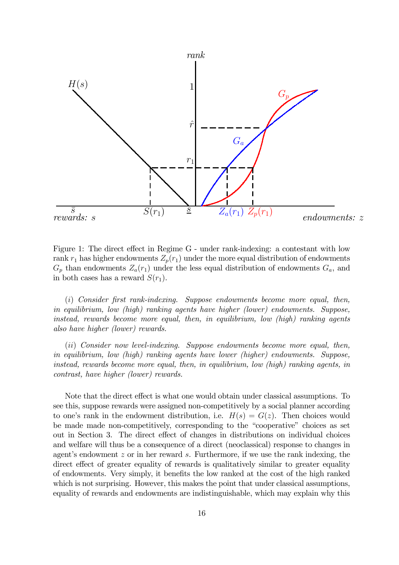

Figure 1: The direct effect in Regime G - under rank-indexing: a contestant with low rank  $r_1$  has higher endowments  $Z_p(r_1)$  under the more equal distribution of endowments  $G_p$  than endowments  $Z_a(r_1)$  under the less equal distribution of endowments  $G_a$ , and in both cases has a reward  $S(r_1)$ .

(i) Consider first rank-indexing. Suppose endowments become more equal, then, in equilibrium, low (high) ranking agents have higher (lower) endowments. Suppose, instead, rewards become more equal, then, in equilibrium, low (high) ranking agents also have higher (lower) rewards.

(ii) Consider now level-indexing. Suppose endowments become more equal, then, in equilibrium, low (high) ranking agents have lower (higher) endowments. Suppose, instead, rewards become more equal, then, in equilibrium, low (high) ranking agents, in contrast, have higher (lower) rewards.

Note that the direct effect is what one would obtain under classical assumptions. To see this, suppose rewards were assigned non-competitively by a social planner according to one's rank in the endowment distribution, i.e.  $H(s) = G(z)$ . Then choices would be made made non-competitively, corresponding to the "cooperative" choices as set out in Section 3. The direct effect of changes in distributions on individual choices and welfare will thus be a consequence of a direct (neoclassical) response to changes in agent's endowment  $z$  or in her reward  $s$ . Furthermore, if we use the rank indexing, the direct effect of greater equality of rewards is qualitatively similar to greater equality of endowments. Very simply, it benefits the low ranked at the cost of the high ranked which is not surprising. However, this makes the point that under classical assumptions, equality of rewards and endowments are indistinguishable, which may explain why this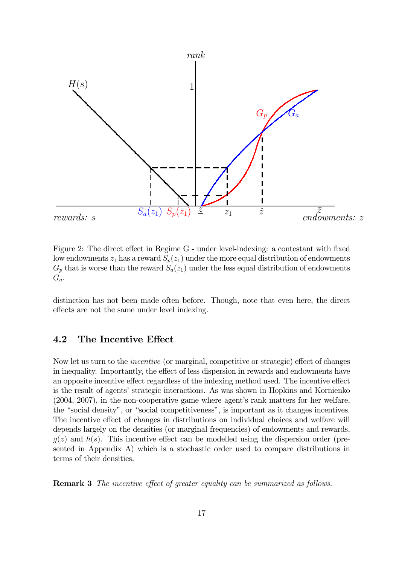

Figure 2: The direct effect in Regime G - under level-indexing: a contestant with fixed low endowments  $z_1$  has a reward  $S_p(z_1)$  under the more equal distribution of endowments  $G_p$  that is worse than the reward  $S_a(z_1)$  under the less equal distribution of endowments  $G_a$ .

distinction has not been made often before. Though, note that even here, the direct effects are not the same under level indexing.

#### 4.2 The Incentive Effect

Now let us turn to the incentive (or marginal, competitive or strategic) effect of changes in inequality. Importantly, the effect of less dispersion in rewards and endowments have an opposite incentive effect regardless of the indexing method used. The incentive effect is the result of agents' strategic interactions. As was shown in Hopkins and Kornienko (2004, 2007), in the non-cooperative game where agent's rank matters for her welfare, the "social density", or "social competitiveness", is important as it changes incentives. The incentive effect of changes in distributions on individual choices and welfare will depends largely on the densities (or marginal frequencies) of endowments and rewards,  $g(z)$  and  $h(s)$ . This incentive effect can be modelled using the dispersion order (presented in Appendix A) which is a stochastic order used to compare distributions in terms of their densities.

Remark 3 The incentive effect of greater equality can be summarized as follows.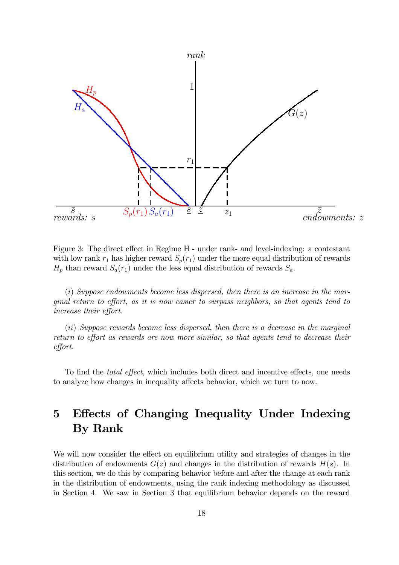

Figure 3: The direct effect in Regime H - under rank- and level-indexing: a contestant with low rank  $r_1$  has higher reward  $S_p(r_1)$  under the more equal distribution of rewards  $H_p$  than reward  $S_a(r_1)$  under the less equal distribution of rewards  $S_a$ .

(i) Suppose endowments become less dispersed, then there is an increase in the marginal return to effort, as it is now easier to surpass neighbors, so that agents tend to increase their effort.

(ii) Suppose rewards become less dispersed, then there is a decrease in the marginal return to effort as rewards are now more similar, so that agents tend to decrease their effort.

To find the total effect, which includes both direct and incentive effects, one needs to analyze how changes in inequality affects behavior, which we turn to now.

## 5 Effects of Changing Inequality Under Indexing By Rank

We will now consider the effect on equilibrium utility and strategies of changes in the distribution of endowments  $G(z)$  and changes in the distribution of rewards  $H(s)$ . In this section, we do this by comparing behavior before and after the change at each rank in the distribution of endowments, using the rank indexing methodology as discussed in Section 4. We saw in Section 3 that equilibrium behavior depends on the reward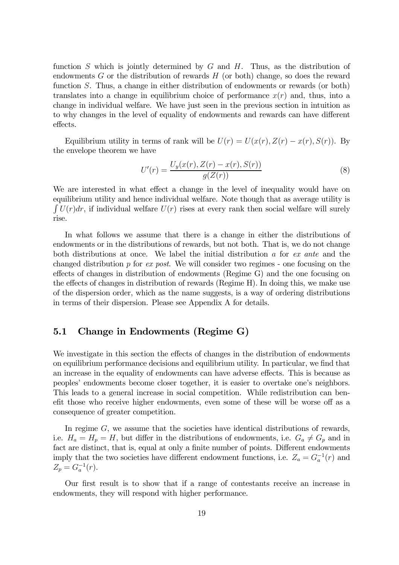function S which is jointly determined by  $G$  and  $H$ . Thus, as the distribution of endowments  $G$  or the distribution of rewards  $H$  (or both) change, so does the reward function S. Thus, a change in either distribution of endowments or rewards (or both) translates into a change in equilibrium choice of performance  $x(r)$  and, thus, into a change in individual welfare. We have just seen in the previous section in intuition as to why changes in the level of equality of endowments and rewards can have different effects.

Equilibrium utility in terms of rank will be  $U(r) = U(x(r), Z(r) - x(r), S(r))$ . By the envelope theorem we have

$$
U'(r) = \frac{U_y(x(r), Z(r) - x(r), S(r))}{g(Z(r))}
$$
\n(8)

We are interested in what effect a change in the level of inequality would have on equilibrium utility and hence individual welfare. Note though that as average utility is  $\int U(r)dr$ , if individual welfare  $U(r)$  rises at every rank then social welfare will surely rise.

In what follows we assume that there is a change in either the distributions of endowments or in the distributions of rewards, but not both. That is, we do not change both distributions at once. We label the initial distribution a for ex ante and the changed distribution  $p$  for ex post. We will consider two regimes - one focusing on the effects of changes in distribution of endowments (Regime G) and the one focusing on the effects of changes in distribution of rewards (Regime H). In doing this, we make use of the dispersion order, which as the name suggests, is a way of ordering distributions in terms of their dispersion. Please see Appendix A for details.

#### 5.1 Change in Endowments (Regime G)

We investigate in this section the effects of changes in the distribution of endowments on equilibrium performance decisions and equilibrium utility. In particular, we find that an increase in the equality of endowments can have adverse effects. This is because as peoples' endowments become closer together, it is easier to overtake one's neighbors. This leads to a general increase in social competition. While redistribution can benefit those who receive higher endowments, even some of these will be worse off as a consequence of greater competition.

In regime  $G$ , we assume that the societies have identical distributions of rewards, i.e.  $H_a = H_p = H$ , but differ in the distributions of endowments, i.e.  $G_a \neq G_p$  and in fact are distinct, that is, equal at only a finite number of points. Different endowments imply that the two societies have different endowment functions, i.e.  $Z_a = G_a^{-1}(r)$  and  $Z_p = G_a^{-1}(r)$ .

Our first result is to show that if a range of contestants receive an increase in endowments, they will respond with higher performance.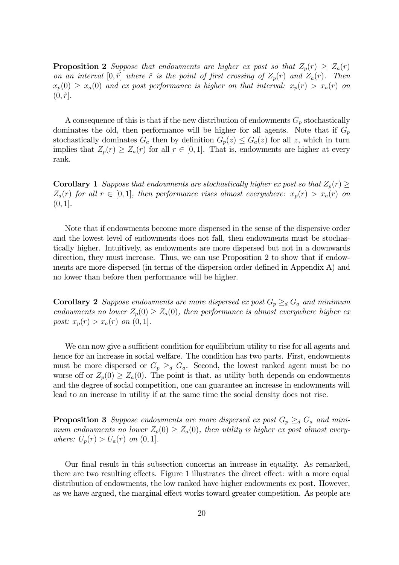**Proposition 2** Suppose that endowments are higher ex post so that  $Z_p(r) \geq Z_a(r)$ on an interval  $[0, \hat{r}]$  where  $\hat{r}$  is the point of first crossing of  $Z_p(r)$  and  $Z_a(r)$ . Then  $x_p(0) \ge x_a(0)$  and ex post performance is higher on that interval:  $x_p(r) > x_a(r)$  on  $(0, \hat{r}].$ 

A consequence of this is that if the new distribution of endowments  $G_p$  stochastically dominates the old, then performance will be higher for all agents. Note that if  $G_p$ stochastically dominates  $G_a$  then by definition  $G_p(z) \leq G_a(z)$  for all z, which in turn implies that  $Z_p(r) \geq Z_a(r)$  for all  $r \in [0,1]$ . That is, endowments are higher at every rank.

**Corollary 1** Suppose that endowments are stochastically higher ex post so that  $Z_p(r) \geq$  $Z_a(r)$  for all  $r \in [0,1]$ , then performance rises almost everywhere:  $x_p(r) > x_a(r)$  on  $(0, 1]$ .

Note that if endowments become more dispersed in the sense of the dispersive order and the lowest level of endowments does not fall, then endowments must be stochastically higher. Intuitively, as endowments are more dispersed but not in a downwards direction, they must increase. Thus, we can use Proposition 2 to show that if endowments are more dispersed (in terms of the dispersion order defined in Appendix A) and no lower than before then performance will be higher.

**Corollary 2** Suppose endowments are more dispersed ex post  $G_p \geq_d G_a$  and minimum endowments no lower  $Z_p(0) \geq Z_a(0)$ , then performance is almost everywhere higher ex post:  $x_p(r) > x_a(r)$  on  $(0, 1]$ .

We can now give a sufficient condition for equilibrium utility to rise for all agents and hence for an increase in social welfare. The condition has two parts. First, endowments must be more dispersed or  $G_p \geq_d G_a$ . Second, the lowest ranked agent must be no worse off or  $Z_p(0) \geq Z_a(0)$ . The point is that, as utility both depends on endowments and the degree of social competition, one can guarantee an increase in endowments will lead to an increase in utility if at the same time the social density does not rise.

**Proposition 3** Suppose endowments are more dispersed ex post  $G_p \geq_d G_a$  and minimum endowments no lower  $Z_p(0) \geq Z_a(0)$ , then utility is higher ex post almost everywhere:  $U_p(r) > U_a(r)$  on  $(0, 1]$ .

Our final result in this subsection concerns an increase in equality. As remarked, there are two resulting effects. Figure 1 illustrates the direct effect: with a more equal distribution of endowments, the low ranked have higher endowments ex post. However, as we have argued, the marginal effect works toward greater competition. As people are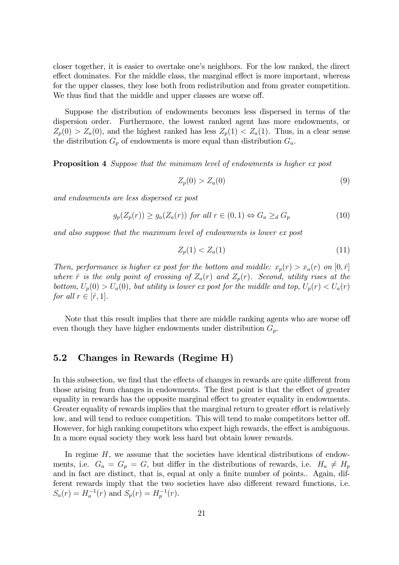closer together, it is easier to overtake one's neighbors. For the low ranked, the direct effect dominates. For the middle class, the marginal effect is more important, whereas for the upper classes, they lose both from redistribution and from greater competition. We thus find that the middle and upper classes are worse off.

Suppose the distribution of endowments becomes less dispersed in terms of the dispersion order. Furthermore, the lowest ranked agent has more endowments, or  $Z_p(0) > Z_a(0)$ , and the highest ranked has less  $Z_p(1) < Z_a(1)$ . Thus, in a clear sense the distribution  $G_p$  of endowments is more equal than distribution  $G_a$ .

Proposition 4 Suppose that the minimum level of endowments is higher ex post

$$
Z_p(0) > Z_a(0) \tag{9}
$$

and endowments are less dispersed ex post

$$
g_p(Z_p(r)) \ge g_a(Z_a(r)) \text{ for all } r \in (0,1) \Leftrightarrow G_a \ge_d G_p \tag{10}
$$

and also suppose that the maximum level of endowments is lower ex post

$$
Z_p(1) < Z_a(1) \tag{11}
$$

Then, performance is higher ex post for the bottom and middle:  $x_p(r) > x_a(r)$  on  $[0, \hat{r}]$ where  $\hat{r}$  is the only point of crossing of  $Z_a(r)$  and  $Z_p(r)$ . Second, utility rises at the bottom,  $U_p(0) > U_a(0)$ , but utility is lower ex post for the middle and top,  $U_p(r) < U_a(r)$ for all  $r \in [\hat{r}, 1]$ .

Note that this result implies that there are middle ranking agents who are worse off even though they have higher endowments under distribution  $G_p$ .

#### 5.2 Changes in Rewards (Regime H)

In this subsection, we find that the effects of changes in rewards are quite different from those arising from changes in endowments. The first point is that the effect of greater equality in rewards has the opposite marginal effect to greater equality in endowments. Greater equality of rewards implies that the marginal return to greater effort is relatively low, and will tend to reduce competition. This will tend to make competitors better off. However, for high ranking competitors who expect high rewards, the effect is ambiguous. In a more equal society they work less hard but obtain lower rewards.

In regime H, we assume that the societies have identical distributions of endowments, i.e.  $G_a = G_p = G$ , but differ in the distributions of rewards, i.e.  $H_a \neq H_p$ and in fact are distinct, that is, equal at only a finite number of points.. Again, different rewards imply that the two societies have also different reward functions, i.e.  $S_a(r) = H_a^{-1}(r)$  and  $S_p(r) = H_p^{-1}(r)$ .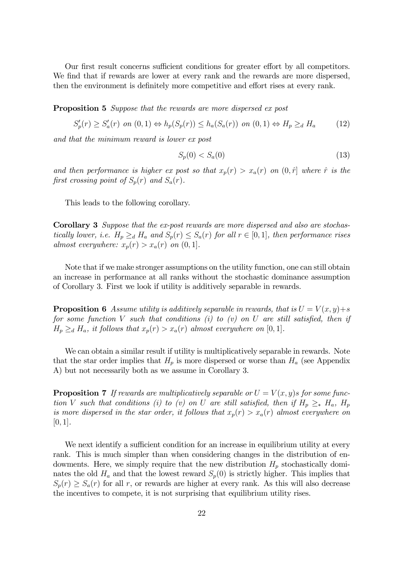Our first result concerns sufficient conditions for greater effort by all competitors. We find that if rewards are lower at every rank and the rewards are more dispersed, then the environment is definitely more competitive and effort rises at every rank.

**Proposition 5** Suppose that the rewards are more dispersed ex post

$$
S_p'(r) \ge S_a'(r) \text{ on } (0,1) \Leftrightarrow h_p(S_p(r)) \le h_a(S_a(r)) \text{ on } (0,1) \Leftrightarrow H_p \ge_d H_a \tag{12}
$$

and that the minimum reward is lower ex post

$$
S_p(0) < S_a(0) \tag{13}
$$

and then performance is higher ex post so that  $x_p(r) > x_a(r)$  on  $(0, \hat{r})$  where  $\hat{r}$  is the first crossing point of  $S_p(r)$  and  $S_a(r)$ .

This leads to the following corollary.

Corollary 3 Suppose that the ex-post rewards are more dispersed and also are stochastically lower, i.e.  $H_p \ge_d H_a$  and  $S_p(r) \leq S_a(r)$  for all  $r \in [0,1]$ , then performance rises almost everywhere:  $x_p(r) > x_a(r)$  on  $(0, 1]$ .

Note that if we make stronger assumptions on the utility function, one can still obtain an increase in performance at all ranks without the stochastic dominance assumption of Corollary 3. First we look if utility is additively separable in rewards.

**Proposition 6** Assume utility is additively separable in rewards, that is  $U = V(x, y) + s$ for some function V such that conditions  $(i)$  to  $(v)$  on U are still satisfied, then if  $H_p \geq_d H_a$ , it follows that  $x_p(r) > x_a(r)$  almost everywhere on [0,1].

We can obtain a similar result if utility is multiplicatively separable in rewards. Note that the star order implies that  $H_p$  is more dispersed or worse than  $H_a$  (see Appendix A) but not necessarily both as we assume in Corollary 3.

**Proposition 7** If rewards are multiplicatively separable or  $U = V(x, y)$  for some function V such that conditions (i) to (v) on U are still satisfied, then if  $H_p \geq_* H_a$ ,  $H_p$ is more dispersed in the star order, it follows that  $x_p(r) > x_a(r)$  almost everywhere on  $[0, 1]$ .

We next identify a sufficient condition for an increase in equilibrium utility at every rank. This is much simpler than when considering changes in the distribution of endowments. Here, we simply require that the new distribution  $H_p$  stochastically dominates the old  $H_a$  and that the lowest reward  $S_p(0)$  is strictly higher. This implies that  $S_p(r) \geq S_a(r)$  for all r, or rewards are higher at every rank. As this will also decrease the incentives to compete, it is not surprising that equilibrium utility rises.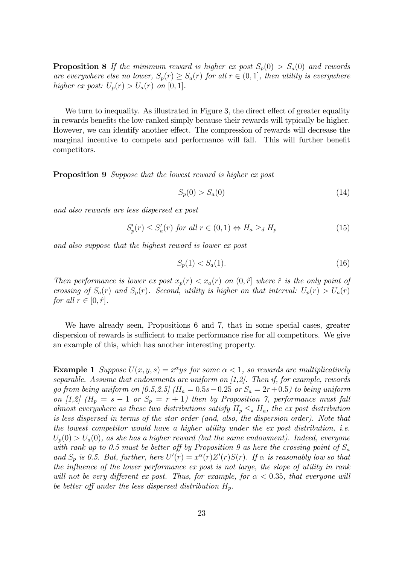**Proposition 8** If the minimum reward is higher ex post  $S_p(0) > S_a(0)$  and rewards are everywhere else no lower,  $S_p(r) \geq S_a(r)$  for all  $r \in (0,1]$ , then utility is everywhere higher ex post:  $U_p(r) > U_a(r)$  on [0, 1].

We turn to inequality. As illustrated in Figure 3, the direct effect of greater equality in rewards benefits the low-ranked simply because their rewards will typically be higher. However, we can identify another effect. The compression of rewards will decrease the marginal incentive to compete and performance will fall. This will further benefit competitors.

**Proposition 9** Suppose that the lowest reward is higher ex post

$$
S_p(0) > S_a(0) \tag{14}
$$

and also rewards are less dispersed ex post

 $S_p'(r) \leq S_a'(r)$  for all  $r \in (0,1) \Leftrightarrow H_a \geq_d H_p$  (15)

and also suppose that the highest reward is lower ex post

$$
S_p(1) < S_a(1). \tag{16}
$$

Then performance is lower ex post  $x_p(r) < x_a(r)$  on  $(0, \hat{r})$  where  $\hat{r}$  is the only point of crossing of  $S_a(r)$  and  $S_p(r)$ . Second, utility is higher on that interval:  $U_p(r) > U_a(r)$ for all  $r \in [0, \hat{r}]$ .

We have already seen, Propositions 6 and 7, that in some special cases, greater dispersion of rewards is sufficient to make performance rise for all competitors. We give an example of this, which has another interesting property.

**Example 1** Suppose  $U(x, y, s) = x^{\alpha}ys$  for some  $\alpha < 1$ , so rewards are multiplicatively separable. Assume that endowments are uniform on  $[1,2]$ . Then if, for example, rewards go from being uniform on [0.5,2.5] ( $H_a = 0.5s - 0.25$  or  $S_a = 2r + 0.5$ ) to being uniform on [1,2] ( $H_p = s - 1$  or  $S_p = r + 1$ ) then by Proposition 7, performance must fall almost everywhere as these two distributions satisfy  $H_p \leq_* H_a$ , the ex post distribution is less dispersed in terms of the star order (and, also, the dispersion order). Note that the lowest competitor would have a higher utility under the ex post distribution, i.e.  $U_p(0) > U_a(0)$ , as she has a higher reward (but the same endowment). Indeed, everyone with rank up to 0.5 must be better off by Proposition 9 as here the crossing point of  $S_a$ and  $S_p$  is 0.5. But, further, here  $U'(r) = x^{\alpha}(r)Z'(r)S(r)$ . If  $\alpha$  is reasonably low so that the influence of the lower performance ex post is not large, the slope of utility in rank will not be very different ex post. Thus, for example, for  $\alpha < 0.35$ , that everyone will be better off under the less dispersed distribution  $H_p$ .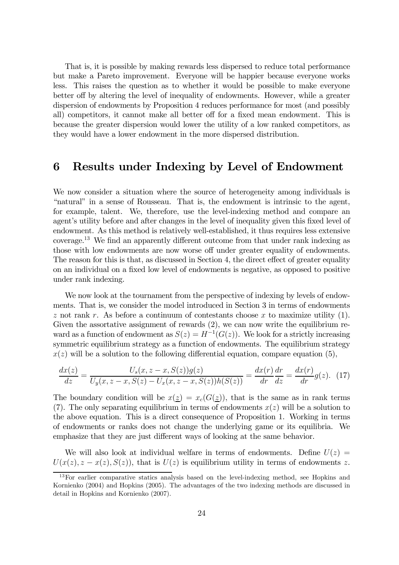That is, it is possible by making rewards less dispersed to reduce total performance but make a Pareto improvement. Everyone will be happier because everyone works less. This raises the question as to whether it would be possible to make everyone better off by altering the level of inequality of endowments. However, while a greater dispersion of endowments by Proposition 4 reduces performance for most (and possibly all) competitors, it cannot make all better off for a fixed mean endowment. This is because the greater dispersion would lower the utility of a low ranked competitors, as they would have a lower endowment in the more dispersed distribution.

### 6 Results under Indexing by Level of Endowment

We now consider a situation where the source of heterogeneity among individuals is "natural" in a sense of Rousseau. That is, the endowment is intrinsic to the agent, for example, talent. We, therefore, use the level-indexing method and compare an agent's utility before and after changes in the level of inequality given this fixed level of endowment. As this method is relatively well-established, it thus requires less extensive coverage.13 We find an apparently different outcome from that under rank indexing as those with low endowments are now worse off under greater equality of endowments. The reason for this is that, as discussed in Section 4, the direct effect of greater equality on an individual on a fixed low level of endowments is negative, as opposed to positive under rank indexing.

We now look at the tournament from the perspective of indexing by levels of endowments. That is, we consider the model introduced in Section 3 in terms of endowments z not rank r. As before a continuum of contestants choose x to maximize utility  $(1)$ . Given the assortative assignment of rewards  $(2)$ , we can now write the equilibrium reward as a function of endowment as  $S(z) = H^{-1}(G(z))$ . We look for a strictly increasing symmetric equilibrium strategy as a function of endowments. The equilibrium strategy  $x(z)$  will be a solution to the following differential equation, compare equation (5),

$$
\frac{dx(z)}{dz} = \frac{U_s(x, z - x, S(z))g(z)}{U_y(x, z - x, S(z) - U_x(x, z - x, S(z))h(S(z))} = \frac{dx(r)}{dr}\frac{dr}{dz} = \frac{dx(r)}{dr}g(z). \tag{17}
$$

The boundary condition will be  $x(\underline{z}) = x_c(G(\underline{z}))$ , that is the same as in rank terms (7). The only separating equilibrium in terms of endowments  $x(z)$  will be a solution to the above equation. This is a direct consequence of Proposition 1. Working in terms of endowments or ranks does not change the underlying game or its equilibria. We emphasize that they are just different ways of looking at the same behavior.

We will also look at individual welfare in terms of endowments. Define  $U(z)$  =  $U(x(z), z - x(z), S(z))$ , that is  $U(z)$  is equilibrium utility in terms of endowments z.

<sup>&</sup>lt;sup>13</sup>For earlier comparative statics analysis based on the level-indexing method, see Hopkins and Kornienko (2004) and Hopkins (2005). The advantages of the two indexing methods are discussed in detail in Hopkins and Kornienko (2007).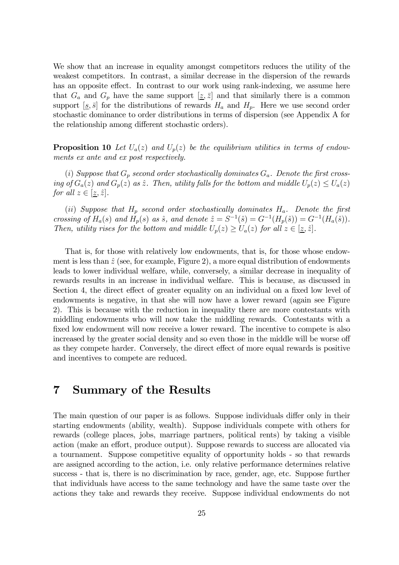We show that an increase in equality amongst competitors reduces the utility of the weakest competitors. In contrast, a similar decrease in the dispersion of the rewards has an opposite effect. In contrast to our work using rank-indexing, we assume here that  $G_a$  and  $G_p$  have the same support  $[\underline{z}, \overline{z}]$  and that similarly there is a common support  $[s, \bar{s}]$  for the distributions of rewards  $H_a$  and  $H_p$ . Here we use second order stochastic dominance to order distributions in terms of dispersion (see Appendix A for the relationship among different stochastic orders).

**Proposition 10** Let  $U_a(z)$  and  $U_p(z)$  be the equilibrium utilities in terms of endowments ex ante and ex post respectively.

(i) Suppose that  $G_p$  second order stochastically dominates  $G_a$ . Denote the first crossing of  $G_a(z)$  and  $G_p(z)$  as  $\hat{z}$ . Then, utility falls for the bottom and middle  $U_p(z) \le U_a(z)$ for all  $z \in [\underline{z}, \hat{z}].$ 

(ii) Suppose that  $H_p$  second order stochastically dominates  $H_a$ . Denote the first crossing of  $H_a(s)$  and  $H_p(s)$  as  $\hat{s}$ , and denote  $\hat{z} = S^{-1}(\hat{s}) = G^{-1}(H_p(\hat{s})) = G^{-1}(H_a(\hat{s}))$ . Then, utility rises for the bottom and middle  $U_p(z) \ge U_a(z)$  for all  $z \in [z, \hat{z}]$ .

That is, for those with relatively low endowments, that is, for those whose endowment is less than  $\hat{z}$  (see, for example, Figure 2), a more equal distribution of endowments leads to lower individual welfare, while, conversely, a similar decrease in inequality of rewards results in an increase in individual welfare. This is because, as discussed in Section 4, the direct effect of greater equality on an individual on a fixed low level of endowments is negative, in that she will now have a lower reward (again see Figure 2). This is because with the reduction in inequality there are more contestants with middling endowments who will now take the middling rewards. Contestants with a fixed low endowment will now receive a lower reward. The incentive to compete is also increased by the greater social density and so even those in the middle will be worse off as they compete harder. Conversely, the direct effect of more equal rewards is positive and incentives to compete are reduced.

## 7 Summary of the Results

The main question of our paper is as follows. Suppose individuals differ only in their starting endowments (ability, wealth). Suppose individuals compete with others for rewards (college places, jobs, marriage partners, political rents) by taking a visible action (make an effort, produce output). Suppose rewards to success are allocated via a tournament. Suppose competitive equality of opportunity holds - so that rewards are assigned according to the action, i.e. only relative performance determines relative success - that is, there is no discrimination by race, gender, age, etc. Suppose further that individuals have access to the same technology and have the same taste over the actions they take and rewards they receive. Suppose individual endowments do not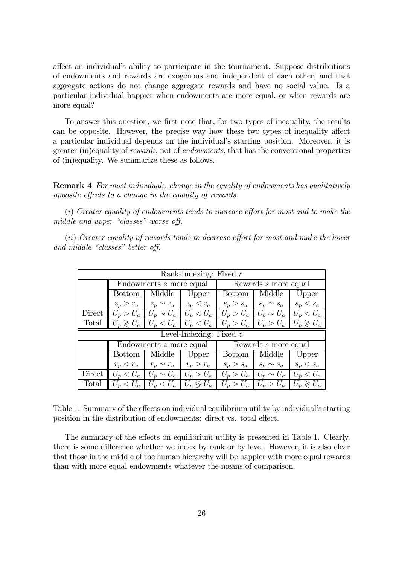affect an individual's ability to participate in the tournament. Suppose distributions of endowments and rewards are exogenous and independent of each other, and that aggregate actions do not change aggregate rewards and have no social value. Is a particular individual happier when endowments are more equal, or when rewards are more equal?

To answer this question, we first note that, for two types of inequality, the results can be opposite. However, the precise way how these two types of inequality affect a particular individual depends on the individual's starting position. Moreover, it is greater (in)equality of rewards, not of endowments, that has the conventional properties of (in)equality. We summarize these as follows.

**Remark 4** For most individuals, change in the equality of endowments has qualitatively opposite effects to a change in the equality of rewards.

(i) Greater equality of endowments tends to increase effort for most and to make the middle and upper "classes" worse off.

(ii) Greater equality of rewards tends to decrease effort for most and make the lower and middle "classes" better off.

| Rank-Indexing: Fixed $r$ |                         |                                            |                           |                                                                  |                      |                     |
|--------------------------|-------------------------|--------------------------------------------|---------------------------|------------------------------------------------------------------|----------------------|---------------------|
|                          | Endowments z more equal |                                            |                           | Rewards $s$ more equal                                           |                      |                     |
|                          | <b>Bottom</b>           | Middle                                     | Upper                     | <b>Bottom</b>                                                    | Middle               | Upper               |
|                          |                         | $z_p > z_a$   $z_p \sim z_a$   $z_p < z_a$ |                           | $s_p > s_a$                                                      | $s_p \sim s_a$       | $s_p < s_a$         |
| Direct                   |                         | $U_p > U_a$   $U_p \sim U_a$   $U_p < U_a$ |                           | $\parallel U_p > U_a \parallel U_p \sim U_a \parallel U_p < U_a$ |                      |                     |
| Total                    | $U_p \geqslant U_a$     | $U_p < U_a$   $U_p < U_a$                  |                           | $U_p > U_a$                                                      | $U_p > U_a$          | $U_p \geqslant U_a$ |
|                          |                         |                                            |                           |                                                                  |                      |                     |
|                          |                         |                                            | Level-Indexing: Fixed $z$ |                                                                  |                      |                     |
|                          |                         | Endowments z more equal                    |                           |                                                                  | Rewards s more equal |                     |
|                          | <b>Bottom</b>           | Middle                                     | Upper                     | Bottom                                                           | Middle               | Upper               |
|                          | $r_p < r_a$             | $r_p \sim r_a$ $r_p > r_a$                 |                           | $s_p > s_a$                                                      | $s_p \sim s_a$       | $s_p < s_a$         |
| Direct                   |                         | $U_p < U_a$   $U_p \sim U_a$   $U_p > U_a$ |                           | $U_p > U_a$                                                      | $U_p \sim U_a$       | $U_p < U_a$         |

Table 1: Summary of the effects on individual equilibrium utility by individual's starting position in the distribution of endowments: direct vs. total effect.

The summary of the effects on equilibrium utility is presented in Table 1. Clearly, there is some difference whether we index by rank or by level. However, it is also clear that those in the middle of the human hierarchy will be happier with more equal rewards than with more equal endowments whatever the means of comparison.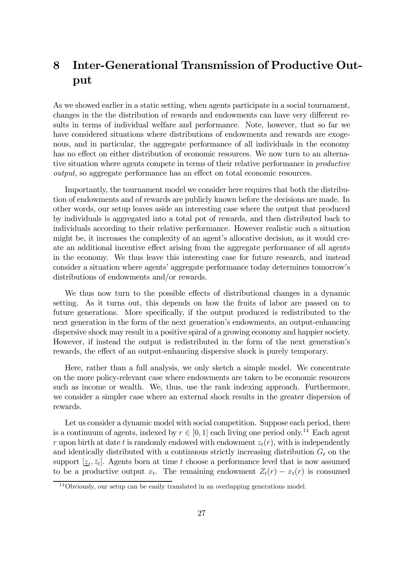## 8 Inter-Generational Transmission of Productive Output

As we showed earlier in a static setting, when agents participate in a social tournament, changes in the the distribution of rewards and endowments can have very different results in terms of individual welfare and performance. Note, however, that so far we have considered situations where distributions of endowments and rewards are exogenous, and in particular, the aggregate performance of all individuals in the economy has no effect on either distribution of economic resources. We now turn to an alternative situation where agents compete in terms of their relative performance in *productive* output, so aggregate performance has an effect on total economic resources.

Importantly, the tournament model we consider here requires that both the distribution of endowments and of rewards are publicly known before the decisions are made. In other words, our setup leaves aside an interesting case where the output that produced by individuals is aggregated into a total pot of rewards, and then distributed back to individuals according to their relative performance. However realistic such a situation might be, it increases the complexity of an agent's allocative decision, as it would create an additional incentive effect arising from the aggregate performance of all agents in the economy. We thus leave this interesting case for future research, and instead consider a situation where agents' aggregate performance today determines tomorrow's distributions of endowments and/or rewards.

We thus now turn to the possible effects of distributional changes in a dynamic setting. As it turns out, this depends on how the fruits of labor are passed on to future generations. More specifically, if the output produced is redistributed to the next generation in the form of the next generation's endowments, an output-enhancing dispersive shock may result in a positive spiral of a growing economy and happier society. However, if instead the output is redistributed in the form of the next generation's rewards, the effect of an output-enhancing dispersive shock is purely temporary.

Here, rather than a full analysis, we only sketch a simple model. We concentrate on the more policy-relevant case where endowments are taken to be economic resources such as income or wealth. We, thus, use the rank indexing approach. Furthermore, we consider a simpler case where an external shock results in the greater dispersion of rewards.

Let us consider a dynamic model with social competition. Suppose each period, there is a continuum of agents, indexed by  $r \in [0, 1]$  each living one period only.<sup>14</sup> Each agent r upon birth at date t is randomly endowed with endowment  $z_t(r)$ , with is independently and identically distributed with a continuous strictly increasing distribution  $G_t$  on the support  $[\underline{z}_t, \overline{z}_t]$ . Agents born at time t choose a performance level that is now assumed to be a productive output  $x_t$ . The remaining endowment  $Z_t(r) - x_t(r)$  is consumed

<sup>14</sup>Obviously, our setup can be easily translated in an overlapping generations model.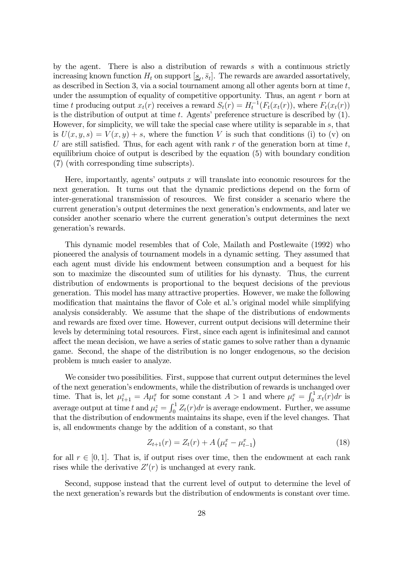by the agent. There is also a distribution of rewards s with a continuous strictly increasing known function  $H_t$  on support  $[\underline{s}_t, \overline{s}_t]$ . The rewards are awarded assortatively, as described in Section 3, via a social tournament among all other agents born at time  $t$ , under the assumption of equality of competitive opportunity. Thus, an agent r born at time t producing output  $x_t(r)$  receives a reward  $S_t(r) = H_t^{-1}(F_t(x_t(r)),$  where  $F_t(x_t(r))$ is the distribution of output at time  $t$ . Agents' preference structure is described by  $(1)$ . However, for simplicity, we will take the special case where utility is separable in s, that is  $U(x, y, s) = V(x, y) + s$ , where the function V is such that conditions (i) to (v) on U are still satisfied. Thus, for each agent with rank r of the generation born at time  $t$ , equilibrium choice of output is described by the equation (5) with boundary condition (7) (with corresponding time subscripts).

Here, importantly, agents' outputs  $x$  will translate into economic resources for the next generation. It turns out that the dynamic predictions depend on the form of inter-generational transmission of resources. We first consider a scenario where the current generation's output determines the next generation's endowments, and later we consider another scenario where the current generation's output determines the next generation's rewards.

This dynamic model resembles that of Cole, Mailath and Postlewaite (1992) who pioneered the analysis of tournament models in a dynamic setting. They assumed that each agent must divide his endowment between consumption and a bequest for his son to maximize the discounted sum of utilities for his dynasty. Thus, the current distribution of endowments is proportional to the bequest decisions of the previous generation. This model has many attractive properties. However, we make the following modification that maintains the flavor of Cole et al.'s original model while simplifying analysis considerably. We assume that the shape of the distributions of endowments and rewards are fixed over time. However, current output decisions will determine their levels by determining total resources. First, since each agent is infinitesimal and cannot affect the mean decision, we have a series of static games to solve rather than a dynamic game. Second, the shape of the distribution is no longer endogenous, so the decision problem is much easier to analyze.

We consider two possibilities. First, suppose that current output determines the level of the next generation's endowments, while the distribution of rewards is unchanged over time. That is, let  $\mu_{t+1}^z = A\mu_t^x$  for some constant  $A > 1$  and where  $\mu_t^x = \int_0^1 x_t(r) dr$  is average output at time t and  $\mu_t^z = \int_0^1 Z_t(r) dr$  is average endowment. Further, we assume that the distribution of endowments maintains its shape, even if the level changes. That is, all endowments change by the addition of a constant, so that

$$
Z_{t+1}(r) = Z_t(r) + A\left(\mu_t^x - \mu_{t-1}^x\right)
$$
\n(18)

for all  $r \in [0, 1]$ . That is, if output rises over time, then the endowment at each rank rises while the derivative  $Z'(r)$  is unchanged at every rank.

Second, suppose instead that the current level of output to determine the level of the next generation's rewards but the distribution of endowments is constant over time.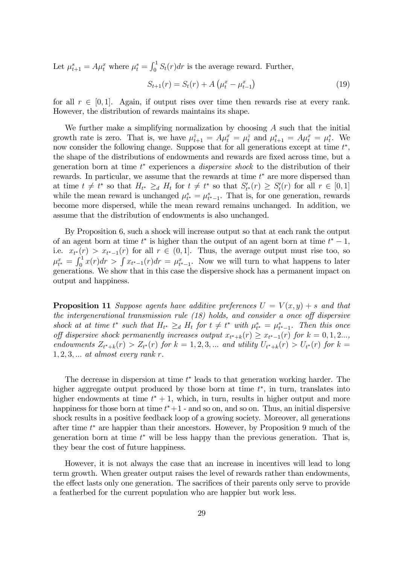Let  $\mu_{t+1}^s = A\mu_t^x$  where  $\mu_t^s = \int_0^1 S_t(r) dr$  is the average reward. Further,

$$
S_{t+1}(r) = S_t(r) + A\left(\mu_t^x - \mu_{t-1}^x\right)
$$
\n(19)

for all  $r \in [0, 1]$ . Again, if output rises over time then rewards rise at every rank. However, the distribution of rewards maintains its shape.

We further make a simplifying normalization by choosing A such that the initial growth rate is zero. That is, we have  $\mu_{t+1}^z = A\mu_t^x = \mu_t^z$  and  $\mu_{t+1}^s = A\mu_t^x = \mu_t^s$ . We now consider the following change. Suppose that for all generations except at time  $t^*$ , the shape of the distributions of endowments and rewards are fixed across time, but a generation born at time  $t^*$  experiences a *dispersive shock* to the distribution of their rewards. In particular, we assume that the rewards at time  $t^*$  are more dispersed than at time  $t \neq t^*$  so that  $H_{t^*} \geq_d H_t$  for  $t \neq t^*$  so that  $S'_{t^*}(r) \geq S'_{t}(r)$  for all  $r \in [0,1]$ while the mean reward is unchanged  $\mu_{t^*}^s = \mu_{t^*-1}^s$ . That is, for one generation, rewards become more dispersed, while the mean reward remains unchanged. In addition, we assume that the distribution of endowments is also unchanged.

By Proposition 6, such a shock will increase output so that at each rank the output of an agent born at time  $t^*$  is higher than the output of an agent born at time  $t^* - 1$ , i.e.  $x_{t^*}(r) > x_{t^*-1}(r)$  for all  $r \in (0,1]$ . Thus, the average output must rise too, so  $\mu_{t^*}^x = \int_0^1 x(r) dr > \int x_{t^*-1}(r) dr = \mu_{t^*-1}^x$ . Now we will turn to what happens to later generations. We show that in this case the dispersive shock has a permanent impact on output and happiness.

**Proposition 11** Suppose agents have additive preferences  $U = V(x, y) + s$  and that the intergenerational transmission rule (18) holds, and consider a once off dispersive shock at at time  $t^*$  such that  $H_{t^*} \geq_d H_t$  for  $t \neq t^*$  with  $\mu_{t^*}^s = \mu_{t^*-1}^s$ . Then this once off dispersive shock permanently increases output  $x_{t^*+k}(r) \ge x_{t^*-1}(r)$  for  $k = 0, 1, 2...$ , endowments  $Z_{t^*+k}(r) > Z_{t^*}(r)$  for  $k = 1, 2, 3, ...$  and utility  $U_{t^*+k}(r) > U_{t^*}(r)$  for  $k =$  $1, 2, 3, \ldots$  at almost every rank r.

The decrease in dispersion at time  $t^*$  leads to that generation working harder. The higher aggregate output produced by those born at time  $t^*$ , in turn, translates into higher endowments at time  $t^* + 1$ , which, in turn, results in higher output and more happiness for those born at time  $t^*+1$  - and so on, and so on. Thus, an initial dispersive shock results in a positive feedback loop of a growing society. Moreover, all generations after time  $t^*$  are happier than their ancestors. However, by Proposition 9 much of the generation born at time  $t^*$  will be less happy than the previous generation. That is, they bear the cost of future happiness.

However, it is not always the case that an increase in incentives will lead to long term growth. When greater output raises the level of rewards rather than endowments, the effect lasts only one generation. The sacrifices of their parents only serve to provide a featherbed for the current population who are happier but work less.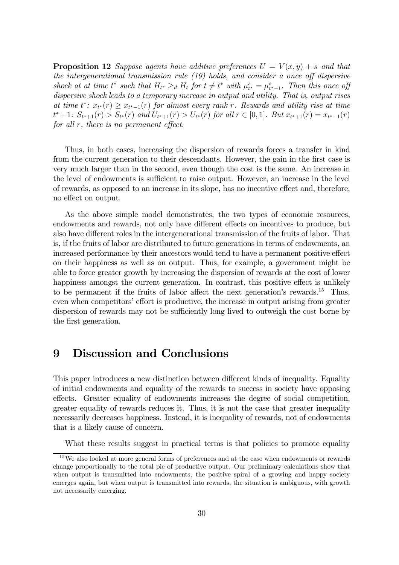**Proposition 12** Suppose agents have additive preferences  $U = V(x, y) + s$  and that the intergenerational transmission rule (19) holds, and consider a once off dispersive shock at at time  $t^*$  such that  $H_{t^*} \geq_d H_t$  for  $t \neq t^*$  with  $\mu_{t^*}^s = \mu_{t^*-1}^s$ . Then this once off dispersive shock leads to a temporary increase in output and utility. That is, output rises at time  $t^*$ :  $x_{t^*}(r) \geq x_{t^*-1}(r)$  for almost every rank r. Rewards and utility rise at time  $t^* + 1: S_{t^*+1}(r) > S_{t^*}(r)$  and  $U_{t^*+1}(r) > U_{t^*}(r)$  for all  $r \in [0,1]$ . But  $x_{t^*+1}(r) = x_{t^*-1}(r)$ for all r, there is no permanent effect.

Thus, in both cases, increasing the dispersion of rewards forces a transfer in kind from the current generation to their descendants. However, the gain in the first case is very much larger than in the second, even though the cost is the same. An increase in the level of endowments is sufficient to raise output. However, an increase in the level of rewards, as opposed to an increase in its slope, has no incentive effect and, therefore, no effect on output.

As the above simple model demonstrates, the two types of economic resources, endowments and rewards, not only have different effects on incentives to produce, but also have different roles in the intergenerational transmission of the fruits of labor. That is, if the fruits of labor are distributed to future generations in terms of endowments, an increased performance by their ancestors would tend to have a permanent positive effect on their happiness as well as on output. Thus, for example, a government might be able to force greater growth by increasing the dispersion of rewards at the cost of lower happiness amongst the current generation. In contrast, this positive effect is unlikely to be permanent if the fruits of labor affect the next generation's rewards.15 Thus, even when competitors' effort is productive, the increase in output arising from greater dispersion of rewards may not be sufficiently long lived to outweigh the cost borne by the first generation.

## 9 Discussion and Conclusions

This paper introduces a new distinction between different kinds of inequality. Equality of initial endowments and equality of the rewards to success in society have opposing effects. Greater equality of endowments increases the degree of social competition, greater equality of rewards reduces it. Thus, it is not the case that greater inequality necessarily decreases happiness. Instead, it is inequality of rewards, not of endowments that is a likely cause of concern.

What these results suggest in practical terms is that policies to promote equality

 $15$ We also looked at more general forms of preferences and at the case when endowments or rewards change proportionally to the total pie of productive output. Our preliminary calculations show that when output is transmitted into endowments, the positive spiral of a growing and happy society emerges again, but when output is transmitted into rewards, the situation is ambiguous, with growth not necessarily emerging.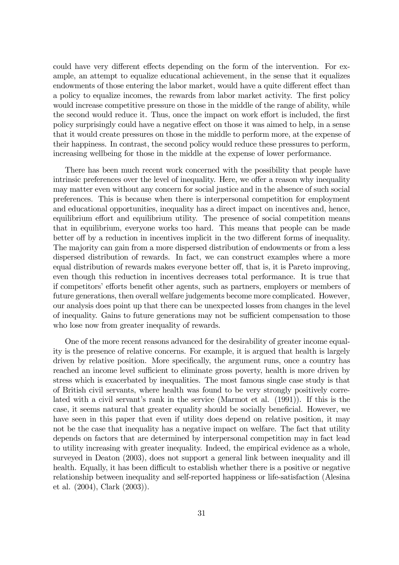could have very different effects depending on the form of the intervention. For example, an attempt to equalize educational achievement, in the sense that it equalizes endowments of those entering the labor market, would have a quite different effect than a policy to equalize incomes, the rewards from labor market activity. The first policy would increase competitive pressure on those in the middle of the range of ability, while the second would reduce it. Thus, once the impact on work effort is included, the first policy surprisingly could have a negative effect on those it was aimed to help, in a sense that it would create pressures on those in the middle to perform more, at the expense of their happiness. In contrast, the second policy would reduce these pressures to perform, increasing wellbeing for those in the middle at the expense of lower performance.

There has been much recent work concerned with the possibility that people have intrinsic preferences over the level of inequality. Here, we offer a reason why inequality may matter even without any concern for social justice and in the absence of such social preferences. This is because when there is interpersonal competition for employment and educational opportunities, inequality has a direct impact on incentives and, hence, equilibrium effort and equilibrium utility. The presence of social competition means that in equilibrium, everyone works too hard. This means that people can be made better off by a reduction in incentives implicit in the two different forms of inequality. The majority can gain from a more dispersed distribution of endowments or from a less dispersed distribution of rewards. In fact, we can construct examples where a more equal distribution of rewards makes everyone better off, that is, it is Pareto improving, even though this reduction in incentives decreases total performance. It is true that if competitors' efforts benefit other agents, such as partners, employers or members of future generations, then overall welfare judgements become more complicated. However, our analysis does point up that there can be unexpected losses from changes in the level of inequality. Gains to future generations may not be sufficient compensation to those who lose now from greater inequality of rewards.

One of the more recent reasons advanced for the desirability of greater income equality is the presence of relative concerns. For example, it is argued that health is largely driven by relative position. More specifically, the argument runs, once a country has reached an income level sufficient to eliminate gross poverty, health is more driven by stress which is exacerbated by inequalities. The most famous single case study is that of British civil servants, where health was found to be very strongly positively correlated with a civil servant's rank in the service (Marmot et al. (1991)). If this is the case, it seems natural that greater equality should be socially beneficial. However, we have seen in this paper that even if utility does depend on relative position, it may not be the case that inequality has a negative impact on welfare. The fact that utility depends on factors that are determined by interpersonal competition may in fact lead to utility increasing with greater inequality. Indeed, the empirical evidence as a whole, surveyed in Deaton (2003), does not support a general link between inequality and ill health. Equally, it has been difficult to establish whether there is a positive or negative relationship between inequality and self-reported happiness or life-satisfaction (Alesina et al. (2004), Clark (2003)).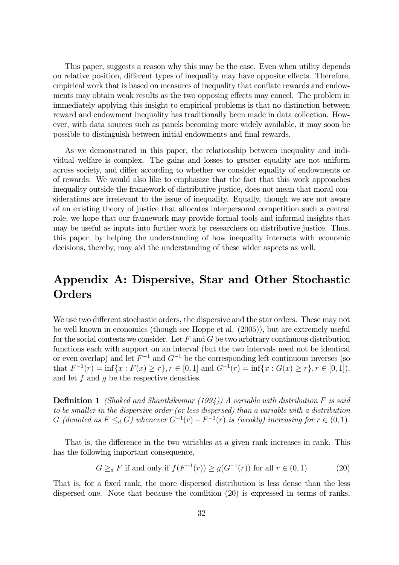This paper, suggests a reason why this may be the case. Even when utility depends on relative position, different types of inequality may have opposite effects. Therefore, empirical work that is based on measures of inequality that conflate rewards and endowments may obtain weak results as the two opposing effects may cancel. The problem in immediately applying this insight to empirical problems is that no distinction between reward and endowment inequality has traditionally been made in data collection. However, with data sources such as panels becoming more widely available, it may soon be possible to distinguish between initial endowments and final rewards.

As we demonstrated in this paper, the relationship between inequality and individual welfare is complex. The gains and losses to greater equality are not uniform across society, and differ according to whether we consider equality of endowments or of rewards. We would also like to emphasize that the fact that this work approaches inequality outside the framework of distributive justice, does not mean that moral considerations are irrelevant to the issue of inequality. Equally, though we are not aware of an existing theory of justice that allocates interpersonal competition such a central role, we hope that our framework may provide formal tools and informal insights that may be useful as inputs into further work by researchers on distributive justice. Thus, this paper, by helping the understanding of how inequality interacts with economic decisions, thereby, may aid the understanding of these wider aspects as well.

## Appendix A: Dispersive, Star and Other Stochastic **Orders**

We use two different stochastic orders, the dispersive and the star orders. These may not be well known in economics (though see Hoppe et al. (2005)), but are extremely useful for the social contests we consider. Let  $F$  and  $G$  be two arbitrary continuous distribution functions each with support on an interval (but the two intervals need not be identical or even overlap) and let  $F^{-1}$  and  $G^{-1}$  be the corresponding left-continuous inverses (so that  $F^{-1}(r) = \inf\{x : F(x) \ge r\}, r \in [0,1]$  and  $G^{-1}(r) = \inf\{x : G(x) \ge r\}, r \in [0,1]),$ and let  $f$  and  $q$  be the respective densities.

**Definition 1** (Shaked and Shanthikumar (1994)) A variable with distribution  $F$  is said to be smaller in the dispersive order (or less dispersed) than a variable with a distribution G (denoted as  $F \leq_d G$ ) whenever  $G^{-1}(r) - F^{-1}(r)$  is (weakly) increasing for  $r \in (0,1)$ .

That is, the difference in the two variables at a given rank increases in rank. This has the following important consequence,

$$
G \geq_d F \text{ if and only if } f(F^{-1}(r)) \geq g(G^{-1}(r)) \text{ for all } r \in (0,1)
$$
 (20)

That is, for a fixed rank, the more dispersed distribution is less dense than the less dispersed one. Note that because the condition (20) is expressed in terms of ranks,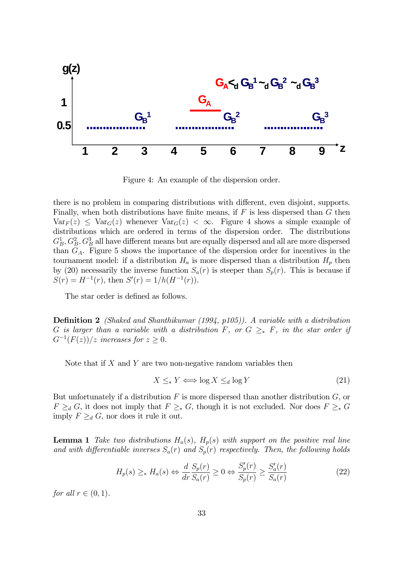

Figure 4: An example of the dispersion order.

there is no problem in comparing distributions with different, even disjoint, supports. Finally, when both distributions have finite means, if  $F$  is less dispersed than  $G$  then  $Var_F(z) \leq Var_G(z)$  whenever  $Var_G(z) < \infty$ . Figure 4 shows a simple example of distributions which are ordered in terms of the dispersion order. The distributions  $G_B^1, G_B^2, G_B^3$  all have different means but are equally dispersed and all are more dispersed than  $G_A$ . Figure 5 shows the importance of the dispersion order for incentives in the tournament model: if a distribution  $H_a$  is more dispersed than a distribution  $H_p$  then by (20) necessarily the inverse function  $S_a(r)$  is steeper than  $S_p(r)$ . This is because if  $S(r) = H^{-1}(r)$ , then  $S'(r) = 1/h(H^{-1}(r))$ .

The star order is defined as follows.

**Definition 2** (Shaked and Shanthikumar (1994, p105)). A variable with a distribution G is larger than a variable with a distribution F, or  $G \geq_* F$ , in the star order if  $G^{-1}(F(z))/z$  increases for  $z \geq 0$ .

Note that if  $X$  and  $Y$  are two non-negative random variables then

$$
X \leq_* Y \iff \log X \leq_d \log Y \tag{21}
$$

But unfortunately if a distribution  $F$  is more dispersed than another distribution  $G$ , or  $F \geq_d G$ , it does not imply that  $F \geq_* G$ , though it is not excluded. Nor does  $F \geq_* G$ imply  $F \geq_d G$ , nor does it rule it out.

**Lemma 1** Take two distributions  $H_a(s)$ ,  $H_p(s)$  with support on the positive real line and with differentiable inverses  $S_a(r)$  and  $S_p(r)$  respectively. Then, the following holds

$$
H_p(s) \ge_* H_a(s) \Leftrightarrow \frac{d}{dr} \frac{S_p(r)}{S_a(r)} \ge 0 \Leftrightarrow \frac{S_p'(r)}{S_p(r)} \ge \frac{S_a'(r)}{S_a(r)}\tag{22}
$$

for all  $r \in (0,1)$ .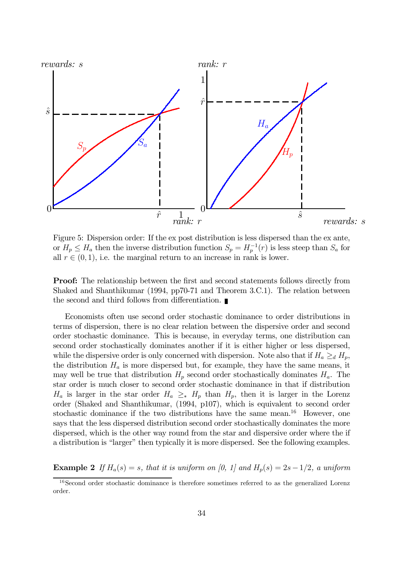

Figure 5: Dispersion order: If the ex post distribution is less dispersed than the ex ante, or  $H_p \leq H_a$  then the inverse distribution function  $S_p = H_p^{-1}(r)$  is less steep than  $S_a$  for all  $r \in (0, 1)$ , i.e. the marginal return to an increase in rank is lower.

**Proof:** The relationship between the first and second statements follows directly from Shaked and Shanthikumar (1994, pp70-71 and Theorem 3.C.1). The relation between the second and third follows from differentiation.

Economists often use second order stochastic dominance to order distributions in terms of dispersion, there is no clear relation between the dispersive order and second order stochastic dominance. This is because, in everyday terms, one distribution can second order stochastically dominates another if it is either higher or less dispersed, while the dispersive order is only concerned with dispersion. Note also that if  $H_a \geq_d H_p$ , the distribution  $H_a$  is more dispersed but, for example, they have the same means, it may well be true that distribution  $H_p$  second order stochastically dominates  $H_a$ . The star order is much closer to second order stochastic dominance in that if distribution  $H_a$  is larger in the star order  $H_a \geq_* H_p$  than  $H_p$ , then it is larger in the Lorenz order (Shaked and Shanthikumar, (1994, p107), which is equivalent to second order stochastic dominance if the two distributions have the same mean.<sup>16</sup> However, one says that the less dispersed distribution second order stochastically dominates the more dispersed, which is the other way round from the star and dispersive order where the if a distribution is "larger" then typically it is more dispersed. See the following examples.

**Example 2** If  $H_a(s) = s$ , that it is uniform on [0, 1] and  $H_p(s) = 2s-1/2$ , a uniform

<sup>&</sup>lt;sup>16</sup>Second order stochastic dominance is therefore sometimes referred to as the generalized Lorenz order.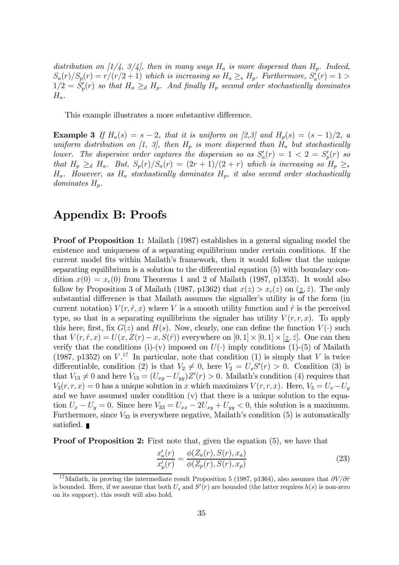distribution on [1/4, 3/4], then in many ways  $H_a$  is more dispersed than  $H_p$ . Indeed,  $S_a(r)/S_p(r) = r/(r/2+1)$  which is increasing so  $H_a \geq_* H_p$ . Furthermore,  $S'_a(r) = 1 >$  $1/2 = S_p'(r)$  so that  $H_a \ge_d H_p$ . And finally  $H_p$  second order stochastically dominates  $H_a$ .

This example illustrates a more substantive difference.

**Example 3** If  $H_a(s) = s - 2$ , that it is uniform on [2,3] and  $H_p(s) = (s - 1)/2$ , a uniform distribution on [1, 3], then  $H_p$  is more dispersed than  $H_a$  but stochastically lower. The dispersive order captures the dispersion so as  $S'_a(r) = 1 < 2 = S'_p(r)$  so that  $H_p \geq_d H_a$ . But,  $S_p(r)/S_a(r) = (2r+1)/(2+r)$  which is increasing so  $H_p \geq_*$  $H_a$ . However, as  $H_a$  stochastically dominates  $H_p$ , it also second order stochastically  $dominates H_p$ .

## Appendix B: Proofs

**Proof of Proposition 1:** Mailath (1987) establishes in a general signaling model the existence and uniqueness of a separating equilibrium under certain conditions. If the current model fits within Mailath's framework, then it would follow that the unique separating equilibrium is a solution to the differential equation (5) with boundary condition  $x(0) = x_c(0)$  from Theorems 1 and 2 of Mailath (1987, p1353). It would also follow by Proposition 3 of Mailath (1987, p1362) that  $x(z) > x_c(z)$  on  $(z, \overline{z})$ . The only substantial difference is that Mailath assumes the signaller's utility is of the form (in current notation)  $V(r, \hat{r}, x)$  where V is a smooth utility function and  $\hat{r}$  is the perceived type, so that in a separating equilibrium the signaler has utility  $V(r, r, x)$ . To apply this here, first, fix  $G(z)$  and  $H(s)$ . Now, clearly, one can define the function  $V(\cdot)$  such that  $V(r, \hat{r}, x) = U(x, Z(r) - x, S(\hat{r}))$  everywhere on  $[0, 1] \times [0, 1] \times [z, \bar{z}]$ . One can then verify that the conditions (i)-(v) imposed on  $U(\cdot)$  imply conditions (1)-(5) of Mailath (1987, p1352) on  $V^{17}$  In particular, note that condition (1) is simply that V is twice differentiable, condition (2) is that  $V_2 \neq 0$ , here  $V_2 = U_s S'(r) > 0$ . Condition (3) is that  $V_{13} \neq 0$  and here  $V_{13} = (U_{xy} - U_{yy})Z'(r) > 0$ . Mailath's condition (4) requires that  $V_3(r, r, x)=0$  has a unique solution in x which maximizes  $V (r, r, x)$ . Here,  $V_3 = U_x - U_y$ and we have assumed under condition (v) that there is a unique solution to the equation  $U_x - U_y = 0$ . Since here  $V_{33} = U_{xx} - 2U_{xy} + U_{yy} < 0$ , this solution is a maximum. Furthermore, since  $V_{33}$  is everywhere negative, Mailath's condition (5) is automatically satisfied. ■

**Proof of Proposition 2:** First note that, given the equation  $(5)$ , we have that

$$
\frac{x_a'(r)}{x_p'(r)} = \frac{\phi(Z_a(r), S(r), x_a)}{\phi(Z_p(r), S(r), x_p)}
$$
\n(23)

<sup>&</sup>lt;sup>17</sup>Mailath, in proving the intermediate result Proposition 5 (1987, p1364), also assumes that  $\partial V/\partial \hat{r}$ is bounded. Here, if we assume that both  $U_s$  and  $S'(r)$  are bounded (the latter requires  $h(s)$  is non-zero on its support), this result will also hold.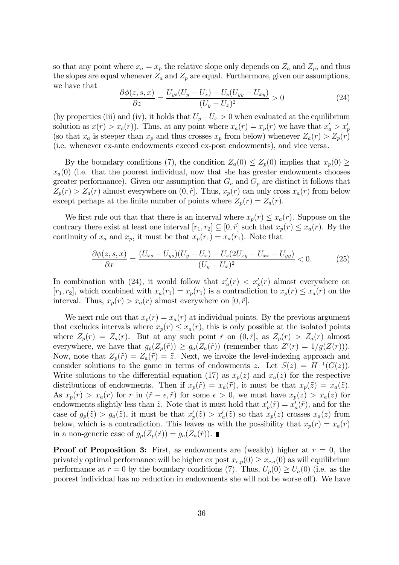so that any point where  $x_a = x_p$  the relative slope only depends on  $Z_a$  and  $Z_p$ , and thus the slopes are equal whenever  $Z_a$  and  $Z_p$  are equal. Furthermore, given our assumptions, we have that

$$
\frac{\partial \phi(z, s, x)}{\partial z} = \frac{U_{ys}(U_y - U_x) - U_s(U_{yy} - U_{xy})}{(U_y - U_x)^2} > 0
$$
\n(24)

(by properties (iii) and (iv), it holds that  $U_y-U_x > 0$  when evaluated at the equilibrium solution as  $x(r) > x_c(r)$ ). Thus, at any point where  $x_a(r) = x_p(r)$  we have that  $x'_a > x'_p$ (so that  $x_a$  is steeper than  $x_p$  and thus crosses  $x_p$  from below) whenever  $Z_a(r) > Z_p(r)$ (i.e. whenever ex-ante endowments exceed ex-post endowments), and vice versa.

By the boundary conditions (7), the condition  $Z_a(0) \leq Z_p(0)$  implies that  $x_p(0) \geq$  $x_a(0)$  (i.e. that the poorest individual, now that she has greater endowments chooses greater performance). Given our assumption that  $G_a$  and  $G_p$  are distinct it follows that  $Z_p(r) > Z_a(r)$  almost everywhere on  $(0, \hat{r}]$ . Thus,  $x_p(r)$  can only cross  $x_a(r)$  from below except perhaps at the finite number of points where  $Z_p(r) = Z_a(r)$ .

We first rule out that that there is an interval where  $x_p(r) \leq x_a(r)$ . Suppose on the contrary there exist at least one interval  $[r_1, r_2] \subseteq [0, \hat{r}]$  such that  $x_p(r) \le x_a(r)$ . By the continuity of  $x_a$  and  $x_p$ , it must be that  $x_p(r_1) = x_a(r_1)$ . Note that

$$
\frac{\partial \phi(z,s,x)}{\partial x} = \frac{(U_{xs} - U_{ys})(U_y - U_x) - U_s(2U_{xy} - U_{xx} - U_{yy})}{(U_y - U_x)^2} < 0. \tag{25}
$$

In combination with (24), it would follow that  $x_a'(r) < x_p'(r)$  almost everywhere on  $[r_1, r_2]$ , which combined with  $x_a(r_1) = x_p(r_1)$  is a contradiction to  $x_p(r) \le x_a(r)$  on the interval. Thus,  $x_p(r) > x_a(r)$  almost everywhere on  $[0, \hat{r}]$ .

We next rule out that  $x_p(r) = x_a(r)$  at individual points. By the previous argument that excludes intervals where  $x_p(r) \leq x_a(r)$ , this is only possible at the isolated points where  $Z_p(r) = Z_a(r)$ . But at any such point  $\tilde{r}$  on  $(0, \hat{r})$ , as  $Z_p(r) > Z_a(r)$  almost everywhere, we have that  $g_p(Z_p(\tilde{r})) \ge g_a(Z_a(\tilde{r}))$  (remember that  $Z'(r) = 1/g(Z(r))$ ). Now, note that  $Z_p(\tilde{r})=Z_a(\tilde{r})=\tilde{z}$ . Next, we invoke the level-indexing approach and consider solutions to the game in terms of endowments z. Let  $S(z) = H^{-1}(G(z))$ . Write solutions to the differential equation (17) as  $x_p(z)$  and  $x_a(z)$  for the respective distributions of endowments. Then if  $x_p(\tilde{r}) = x_a(\tilde{r})$ , it must be that  $x_p(\tilde{z}) = x_a(\tilde{z})$ . As  $x_p(r) > x_a(r)$  for r in  $(\tilde{r} - \epsilon, \tilde{r})$  for some  $\epsilon > 0$ , we must have  $x_p(z) > x_a(z)$  for endowments slightly less than  $\tilde{z}$ . Note that it must hold that  $x'_{p}(\tilde{r}) = x'_{a}(\tilde{r})$ , and for the case of  $g_p(\tilde{z}) > g_a(\tilde{z})$ , it must be that  $x'_p(\tilde{z}) > x'_a(\tilde{z})$  so that  $x_p(z)$  crosses  $x_a(z)$  from below, which is a contradiction. This leaves us with the possibility that  $x_p(r) = x_a(r)$ in a non-generic case of  $g_p(Z_p(\tilde{r})) = g_a(Z_a(\tilde{r}))$ .

**Proof of Proposition 3:** First, as endowments are (weakly) higher at  $r = 0$ , the privately optimal performance will be higher ex post  $x_{c,p}(0) \geq x_{c,a}(0)$  as will equilibrium performance at  $r = 0$  by the boundary conditions (7). Thus,  $U_p(0) \ge U_a(0)$  (i.e. as the poorest individual has no reduction in endowments she will not be worse off). We have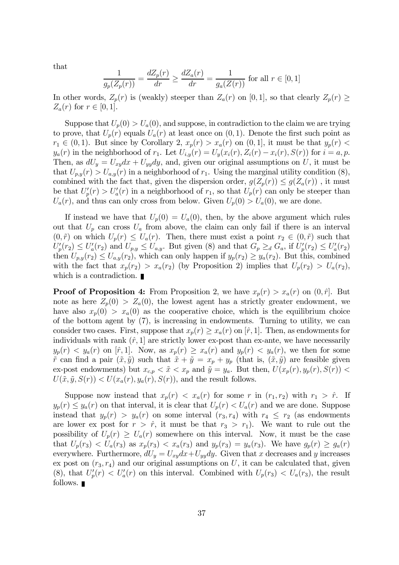that

$$
\frac{1}{g_p(Z_p(r))} = \frac{dZ_p(r)}{dr} \ge \frac{dZ_a(r)}{dr} = \frac{1}{g_a(Z(r))} \text{ for all } r \in [0, 1]
$$

In other words,  $Z_p(r)$  is (weakly) steeper than  $Z_a(r)$  on [0, 1], so that clearly  $Z_p(r) \geq$  $Z_a(r)$  for  $r \in [0,1]$ .

Suppose that  $U_p(0) > U_a(0)$ , and suppose, in contradiction to the claim we are trying to prove, that  $U_p(r)$  equals  $U_a(r)$  at least once on  $(0, 1)$ . Denote the first such point as  $r_1 \in (0, 1)$ . But since by Corollary 2,  $x_p(r) > x_a(r)$  on  $(0, 1]$ , it must be that  $y_p(r) <$  $y_a(r)$  in the neighborhood of  $r_1$ . Let  $U_{i,y}(r) = U_y(x_i(r), Z_i(r) - x_i(r), S(r))$  for  $i = a, p$ . Then, as  $dU_y = U_{xy}dx + U_{yy}dy$ , and, given our original assumptions on U, it must be that  $U_{p,q}(r) > U_{q,q}(r)$  in a neighborhood of  $r_1$ . Using the marginal utility condition (8), combined with the fact that, given the dispersion order,  $g(Z_p(r)) \leq g(Z_a(r))$ , it must be that  $U_p'(r) > U_a'(r)$  in a neighborhood of  $r_1$ , so that  $U_p(r)$  can only be steeper than  $U_a(r)$ , and thus can only cross from below. Given  $U_p(0) > U_a(0)$ , we are done.

If instead we have that  $U_p(0) = U_a(0)$ , then, by the above argument which rules out that  $U_p$  can cross  $U_a$  from above, the claim can only fail if there is an interval  $(0, \tilde{r})$  on which  $U_p(r) \leq U_a(r)$ . Then, there must exist a point  $r_2 \in (0, \tilde{r})$  such that  $U_p'(r_2) \leq U_a'(r_2)$  and  $U_{p,y} \leq U_{a,y}$ . But given (8) and that  $G_p \geq_d G_a$ , if  $U_p'(r_2) \leq U_a'(r_2)$ then  $U_{p,y}(r_2) \leq U_{a,y}(r_2)$ , which can only happen if  $y_p(r_2) \geq y_a(r_2)$ . But this, combined with the fact that  $x_p(r_2) > x_a(r_2)$  (by Proposition 2) implies that  $U_p(r_2) > U_a(r_2)$ , which is a contradiction.

**Proof of Proposition 4:** From Proposition 2, we have  $x_p(r) > x_a(r)$  on  $(0, \hat{r})$ . But note as here  $Z_p(0) > Z_a(0)$ , the lowest agent has a strictly greater endowment, we have also  $x_p(0) > x_a(0)$  as the cooperative choice, which is the equilibrium choice of the bottom agent by (7), is increasing in endowments. Turning to utility, we can consider two cases. First, suppose that  $x_p(r) \geq x_a(r)$  on  $[\hat{r}, 1]$ . Then, as endowments for individuals with rank  $(\hat{r}, 1]$  are strictly lower ex-post than ex-ante, we have necessarily  $y_p(r) < y_a(r)$  on  $[\hat{r}, 1]$ . Now, as  $x_p(r) \ge x_a(r)$  and  $y_p(r) < y_a(r)$ , we then for some  $\tilde{r}$  can find a pair  $(\tilde{x}, \tilde{y})$  such that  $\tilde{x} + \tilde{y} = x_p + y_p$  (that is,  $(\tilde{x}, \tilde{y})$  are feasible given ex-post endowments) but  $x_{c,p} < \tilde{x} < x_p$  and  $\tilde{y} = y_a$ . But then,  $U(x_p(r), y_p(r), S(r))$  $U(\tilde{x}, \tilde{y}, S(r)) < U(x_a(r), y_a(r), S(r))$ , and the result follows.

Suppose now instead that  $x_p(r) < x_a(r)$  for some r in  $(r_1, r_2)$  with  $r_1 > \hat{r}$ . If  $y_p(r) \leq y_a(r)$  on that interval, it is clear that  $U_p(r) < U_a(r)$  and we are done. Suppose instead that  $y_p(r) > y_a(r)$  on some interval  $(r_3, r_4)$  with  $r_4 \leq r_2$  (as endowments are lower ex post for  $r > \hat{r}$ , it must be that  $r_3 > r_1$ ). We want to rule out the possibility of  $U_p(r) \ge U_a(r)$  somewhere on this interval. Now, it must be the case that  $U_p(r_3) < U_a(r_3)$  as  $x_p(r_3) < x_a(r_3)$  and  $y_p(r_3) = y_a(r_3)$ . We have  $g_p(r) \ge g_a(r)$ everywhere. Furthermore,  $dU_y = U_{xy}dx + U_{yy}dy$ . Given that x decreases and y increases ex post on  $(r_3, r_4)$  and our original assumptions on U, it can be calculated that, given (8), that  $U_p'(r) < U_a'(r)$  on this interval. Combined with  $U_p(r_3) < U_a(r_3)$ , the result follows.  $\blacksquare$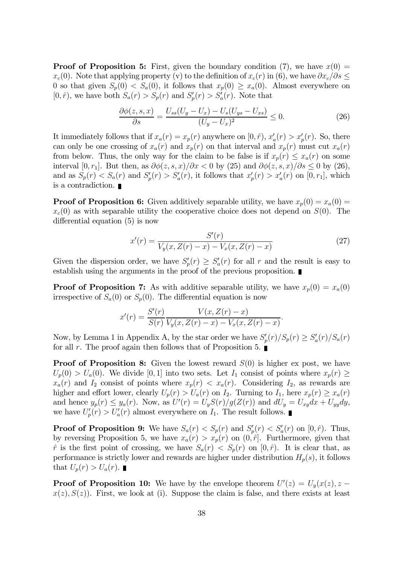**Proof of Proposition 5:** First, given the boundary condition (7), we have  $x(0) =$  $x_c(0)$ . Note that applying property (v) to the definition of  $x_c(r)$  in (6), we have  $\partial x_c/\partial s \leq$ 0 so that given  $S_p(0) < S_a(0)$ , it follows that  $x_p(0) \ge x_a(0)$ . Almost everywhere on  $[0, \hat{r})$ , we have both  $S_a(r) > S_p(r)$  and  $S_p'(r) > S_a'(r)$ . Note that

$$
\frac{\partial \phi(z, s, x)}{\partial s} = \frac{U_{ss}(U_y - U_x) - U_s(U_{ys} - U_{xs})}{(U_y - U_x)^2} \le 0.
$$
 (26)

It immediately follows that if  $x_a(r) = x_p(r)$  anywhere on  $[0, \hat{r})$ ,  $x'_a(r) > x'_p(r)$ . So, there can only be one crossing of  $x_a(r)$  and  $x_p(r)$  on that interval and  $x_p(r)$  must cut  $x_a(r)$ from below. Thus, the only way for the claim to be false is if  $x_p(r) \leq x_a(r)$  on some interval [0, r<sub>1</sub>]. But then, as  $\partial \phi(z, s, x)/\partial x < 0$  by (25) and  $\partial \phi(z, s, x)/\partial s \le 0$  by (26), and as  $S_p(r) < S_a(r)$  and  $S_p'(r) > S_a'(r)$ , it follows that  $x_p'(r) > x_a'(r)$  on  $[0, r_1]$ , which is a contradiction.

**Proof of Proposition 6:** Given additively separable utility, we have  $x_p(0) = x_a(0) = x_a(0)$  $x_c(0)$  as with separable utility the cooperative choice does not depend on  $S(0)$ . The differential equation (5) is now

$$
x'(r) = \frac{S'(r)}{V_y(x, Z(r) - x) - V_x(x, Z(r) - x)}
$$
\n(27)

Given the dispersion order, we have  $S_p'(r) \geq S_a'(r)$  for all r and the result is easy to establish using the arguments in the proof of the previous proposition.

**Proof of Proposition 7:** As with additive separable utility, we have  $x_p(0) = x_a(0)$ irrespective of  $S_a(0)$  or  $S_p(0)$ . The differential equation is now

$$
x'(r) = \frac{S'(r)}{S(r)} \frac{V(x, Z(r) - x)}{V_y(x, Z(r) - x) - V_x(x, Z(r) - x)}.
$$

Now, by Lemma 1 in Appendix A, by the star order we have  $S_p'(r)/S_p(r) \geq S_a'(r)/S_a(r)$ for all r. The proof again then follows that of Proposition 5.

**Proof of Proposition 8:** Given the lowest reward  $S(0)$  is higher ex post, we have  $U_p(0) > U_a(0)$ . We divide [0, 1] into two sets. Let  $I_1$  consist of points where  $x_p(r) \geq$  $x_a(r)$  and  $I_2$  consist of points where  $x_p(r) < x_a(r)$ . Considering  $I_2$ , as rewards are higher and effort lower, clearly  $U_p(r) > U_a(r)$  on  $I_2$ . Turning to  $I_1$ , here  $x_p(r) \ge x_a(r)$ and hence  $y_p(r) \leq y_a(r)$ . Now, as  $U'(r) = U_y S(r)/g(Z(r))$  and  $dU_y = U_{xy} dx + U_{yy} dy$ , we have  $U_p'(r) > U_a'(r)$  almost everywhere on  $I_1$ . The result follows.

**Proof of Proposition 9:** We have  $S_a(r) < S_p(r)$  and  $S_p'(r) < S_a'(r)$  on  $[0, \hat{r})$ . Thus, by reversing Proposition 5, we have  $x_a(r) > x_p(r)$  on  $(0, \hat{r})$ . Furthermore, given that  $\hat{r}$  is the first point of crossing, we have  $S_a(r) < S_p(r)$  on  $[0,\hat{r})$ . It is clear that, as performance is strictly lower and rewards are higher under distribution  $H_p(s)$ , it follows that  $U_p(r) > U_a(r)$ .

**Proof of Proposition 10:** We have by the envelope theorem  $U'(z) = U_y(x(z), z - \hat{z}(z))$  $x(z), S(z)$ . First, we look at (i). Suppose the claim is false, and there exists at least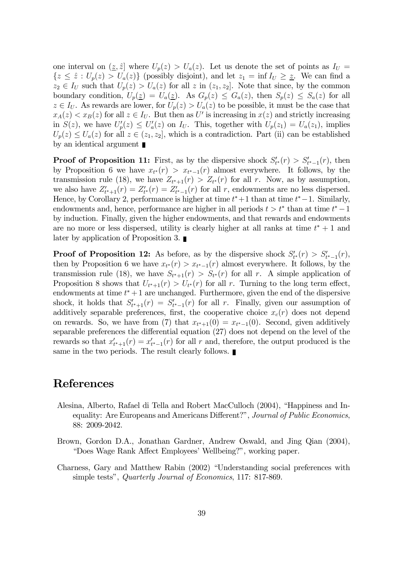one interval on  $(z, \hat{z}|\)$  where  $U_p(z) > U_a(z)\$ . Let us denote the set of points as  $I_U =$  ${z \leq \hat{z} : U_p(z) > U_a(z)}$  (possibly disjoint), and let  $z_1 = \inf I_{U} \geq \underline{z}$ . We can find a  $z_2 \in I_U$  such that  $U_p(z) > U_a(z)$  for all z in  $(z_1, z_2]$ . Note that since, by the common boundary condition,  $U_p(\underline{z}) = U_a(\underline{z})$ . As  $G_p(z) \leq G_a(z)$ , then  $S_p(z) \leq S_a(z)$  for all  $z \in I_U$ . As rewards are lower, for  $U_p(z) > U_a(z)$  to be possible, it must be the case that  $x_A(z) < x_B(z)$  for all  $z \in I_U$ . But then as U' is increasing in  $x(z)$  and strictly increasing in  $S(z)$ , we have  $U_p'(z) \leq U_a'(z)$  on  $I_U$ . This, together with  $U_p(z_1) = U_a(z_1)$ , implies  $U_p(z) \leq U_a(z)$  for all  $z \in (z_1, z_2]$ , which is a contradiction. Part (ii) can be established by an identical argument

**Proof of Proposition 11:** First, as by the dispersive shock  $S'_{t^*}(r) > S'_{t^*-1}(r)$ , then by Proposition 6 we have  $x_{t^*}(r) > x_{t^*-1}(r)$  almost everywhere. It follows, by the transmission rule (18), we have  $Z_{t^*+1}(r) > Z_{t^*}(r)$  for all r. Now, as by assumption, we also have  $Z'_{t^*+1}(r) = Z'_{t^*}(r) = Z'_{t^*-1}(r)$  for all r, endowments are no less dispersed. Hence, by Corollary 2, performance is higher at time  $t^*+1$  than at time  $t^*-1$ . Similarly, endowments and, hence, performance are higher in all periods  $t > t^*$  than at time  $t^* - 1$ by induction. Finally, given the higher endowments, and that rewards and endowments are no more or less dispersed, utility is clearly higher at all ranks at time  $t^* + 1$  and later by application of Proposition 3.

**Proof of Proposition 12:** As before, as by the dispersive shock  $S'_{t^*}(r) > S'_{t^*-1}(r)$ , then by Proposition 6 we have  $x_{t^*}(r) > x_{t^*-1}(r)$  almost everywhere. It follows, by the transmission rule (18), we have  $S_{t^*+1}(r) > S_{t^*}(r)$  for all r. A simple application of Proposition 8 shows that  $U_{t^*+1}(r) > U_{t^*}(r)$  for all r. Turning to the long term effect, endowments at time  $t^* + 1$  are unchanged. Furthermore, given the end of the dispersive shock, it holds that  $S'_{t^*+1}(r) = S'_{t^*-1}(r)$  for all r. Finally, given our assumption of additively separable preferences, first, the cooperative choice  $x_c(r)$  does not depend on rewards. So, we have from (7) that  $x_{t^*+1}(0) = x_{t^*-1}(0)$ . Second, given additively separable preferences the differential equation (27) does not depend on the level of the rewards so that  $x_{t^*+1}'(r) = x_{t^*-1}'(r)$  for all r and, therefore, the output produced is the same in the two periods. The result clearly follows.

## References

- Alesina, Alberto, Rafael di Tella and Robert MacCulloch (2004), "Happiness and Inequality: Are Europeans and Americans Different?", Journal of Public Economics, 88: 2009-2042.
- Brown, Gordon D.A., Jonathan Gardner, Andrew Oswald, and Jing Qian (2004), "Does Wage Rank Affect Employees' Wellbeing?", working paper.
- Charness, Gary and Matthew Rabin (2002) "Understanding social preferences with simple tests", Quarterly Journal of Economics, 117: 817-869.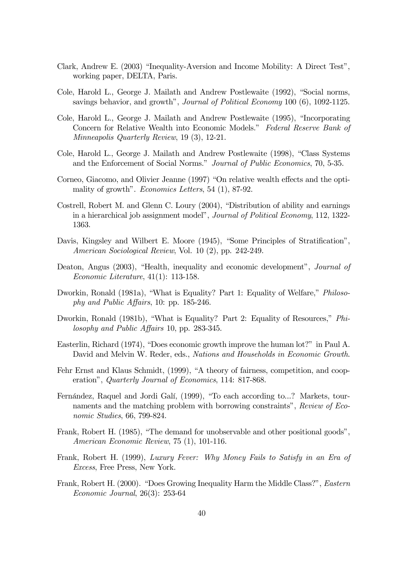- Clark, Andrew E. (2003) "Inequality-Aversion and Income Mobility: A Direct Test", working paper, DELTA, Paris.
- Cole, Harold L., George J. Mailath and Andrew Postlewaite (1992), "Social norms, savings behavior, and growth", Journal of Political Economy 100 (6), 1092-1125.
- Cole, Harold L., George J. Mailath and Andrew Postlewaite (1995), "Incorporating Concern for Relative Wealth into Economic Models." Federal Reserve Bank of Minneapolis Quarterly Review, 19 (3), 12-21.
- Cole, Harold L., George J. Mailath and Andrew Postlewaite (1998), "Class Systems and the Enforcement of Social Norms." Journal of Public Economics, 70, 5-35.
- Corneo, Giacomo, and Olivier Jeanne (1997) "On relative wealth effects and the optimality of growth". Economics Letters, 54 (1), 87-92.
- Costrell, Robert M. and Glenn C. Loury (2004), "Distribution of ability and earnings in a hierarchical job assignment model", Journal of Political Economy, 112, 1322- 1363.
- Davis, Kingsley and Wilbert E. Moore (1945), "Some Principles of Stratification", American Sociological Review, Vol. 10 (2), pp. 242-249.
- Deaton, Angus (2003), "Health, inequality and economic development", *Journal of* Economic Literature, 41(1): 113-158.
- Dworkin, Ronald (1981a), "What is Equality? Part 1: Equality of Welfare," *Philoso*phy and Public Affairs, 10: pp. 185-246.
- Dworkin, Ronald (1981b), "What is Equality? Part 2: Equality of Resources," Philosophy and Public Affairs 10, pp. 283-345.
- Easterlin, Richard (1974), "Does economic growth improve the human lot?" in Paul A. David and Melvin W. Reder, eds., Nations and Households in Economic Growth.
- Fehr Ernst and Klaus Schmidt, (1999), "A theory of fairness, competition, and cooperation", Quarterly Journal of Economics, 114: 817-868.
- Fernández, Raquel and Jordi Galí, (1999), "To each according to...? Markets, tournaments and the matching problem with borrowing constraints", Review of Economic Studies, 66, 799-824.
- Frank, Robert H. (1985), "The demand for unobservable and other positional goods", American Economic Review, 75 (1), 101-116.
- Frank, Robert H. (1999), Luxury Fever: Why Money Fails to Satisfy in an Era of Excess, Free Press, New York.
- Frank, Robert H. (2000). "Does Growing Inequality Harm the Middle Class?", Eastern Economic Journal, 26(3): 253-64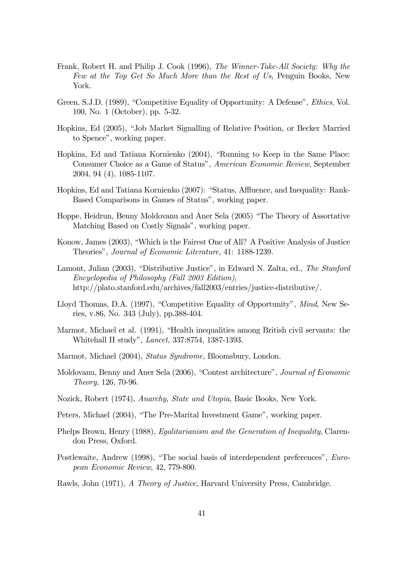- Frank, Robert H. and Philip J. Cook (1996), The Winner-Take-All Society: Why the Few at the Top Get So Much More than the Rest of Us, Penguin Books, New York.
- Green, S.J.D. (1989), "Competitive Equality of Opportunity: A Defense", Ethics, Vol. 100, No. 1 (October), pp. 5-32.
- Hopkins, Ed (2005), "Job Market Signalling of Relative Position, or Becker Married to Spence", working paper.
- Hopkins, Ed and Tatiana Kornienko (2004), "Running to Keep in the Same Place: Consumer Choice as a Game of Status", American Economic Review, September 2004, 94 (4), 1085-1107.
- Hopkins, Ed and Tatiana Kornienko (2007): "Status, Affluence, and Inequality: Rank-Based Comparisons in Games of Status", working paper.
- Hoppe, Heidrun, Benny Moldovanu and Aner Sela (2005) "The Theory of Assortative Matching Based on Costly Signals", working paper.
- Konow, James (2003), "Which is the Fairest One of All? A Positive Analysis of Justice Theories", Journal of Economic Literature, 41: 1188-1239.
- Lamont, Julian (2003), "Distributive Justice", in Edward N. Zalta, ed., The Stanford Encyclopedia of Philosophy (Fall 2003 Edition), http://plato.stanford.edu/archives/fall2003/entries/justice-distributive/.
- Lloyd Thomas, D.A. (1997), "Competitive Equality of Opportunity", Mind, New Series, v.86, No. 343 (July), pp.388-404.
- Marmot, Michael et al. (1991), "Health inequalities among British civil servants: the Whitehall II study", Lancet, 337:8754, 1387-1393.
- Marmot, Michael (2004), Status Syndrome, Bloomsbury, London.
- Moldovanu, Benny and Aner Sela (2006), "Contest architecture", Journal of Economic Theory, 126, 70-96.
- Nozick, Robert (1974), Anarchy, State and Utopia, Basic Books, New York.
- Peters, Michael (2004), "The Pre-Marital Investment Game", working paper.
- Phelps Brown, Henry (1988), *Egalitarianism and the Generation of Inequality*, Clarendon Press, Oxford.
- Postlewaite, Andrew (1998), "The social basis of interdependent preferences", European Economic Review, 42, 779-800.
- Rawls, John (1971), A Theory of Justice, Harvard University Press, Cambridge.